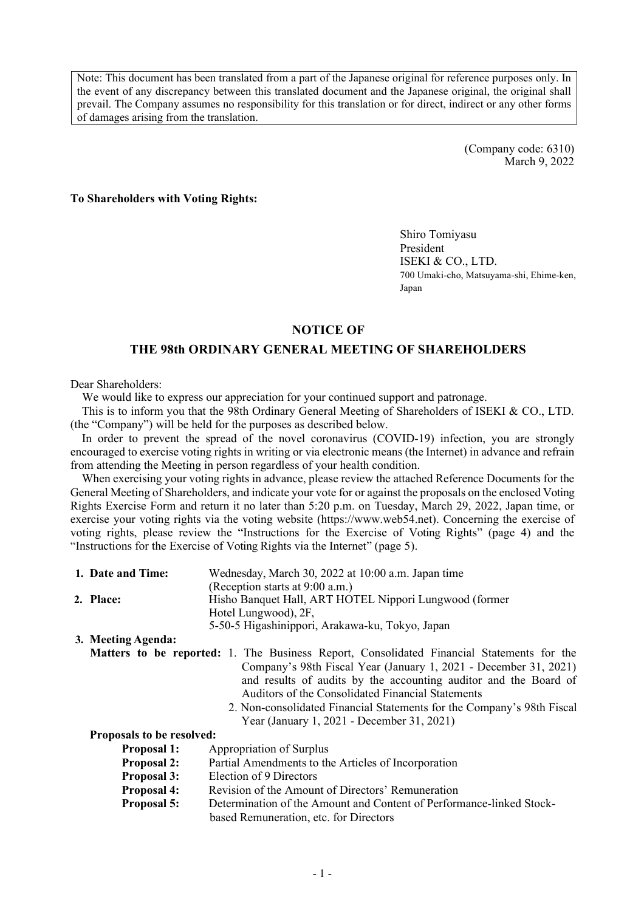Note: This document has been translated from a part of the Japanese original for reference purposes only. In the event of any discrepancy between this translated document and the Japanese original, the original shall prevail. The Company assumes no responsibility for this translation or for direct, indirect or any other forms of damages arising from the translation.

> (Company code: 6310) March 9, 2022

#### **To Shareholders with Voting Rights:**

Shiro Tomiyasu President ISEKI & CO., LTD. 700 Umaki-cho, Matsuyama-shi, Ehime-ken, Japan

#### **NOTICE OF**

#### **THE 98th ORDINARY GENERAL MEETING OF SHAREHOLDERS**

Dear Shareholders:

We would like to express our appreciation for your continued support and patronage.

This is to inform you that the 98th Ordinary General Meeting of Shareholders of ISEKI & CO., LTD. (the "Company") will be held for the purposes as described below.

In order to prevent the spread of the novel coronavirus (COVID-19) infection, you are strongly encouraged to exercise voting rights in writing or via electronic means (the Internet) in advance and refrain from attending the Meeting in person regardless of your health condition.

When exercising your voting rights in advance, please review the attached Reference Documents for the General Meeting of Shareholders, and indicate your vote for or against the proposals on the enclosed Voting Rights Exercise Form and return it no later than 5:20 p.m. on Tuesday, March 29, 2022, Japan time, or exercise your voting rights via the voting website ([https://www.web54.net\).](https://www.web54.net) Concerning the exercise of voting rights, please review the "Instructions for the Exercise of Voting Rights" (page 4) and the "Instructions for the Exercise of Voting Rights via the Internet" (page 5).

| 1. Date and Time: | Wednesday, March 30, 2022 at 10:00 a.m. Japan time     |
|-------------------|--------------------------------------------------------|
|                   | (Reception starts at 9:00 a.m.)                        |
| 2. Place:         | Hisho Banquet Hall, ART HOTEL Nippori Lungwood (former |
|                   | Hotel Lungwood), 2F,                                   |
|                   | 5-50-5 Higashinippori, Arakawa-ku, Tokyo, Japan        |
|                   |                                                        |

**3. Meeting Agenda:**

- **Matters to be reported:** 1. The Business Report, Consolidated Financial Statements for the Company's 98th Fiscal Year (January 1, 2021 - December 31, 2021) and results of audits by the accounting auditor and the Board of Auditors of the Consolidated Financial Statements
	- 2. Non-consolidated Financial Statements for the Company's 98th Fiscal Year (January 1, 2021 - December 31, 2021)

#### **Proposals to be resolved:**

- **Proposal 1:** Appropriation of Surplus
- **Proposal 2:** Partial Amendments to the Articles of Incorporation
- **Proposal 3:** Election of 9 Directors
- **Proposal 4:** Revision of the Amount of Directors' Remuneration
- **Proposal 5:** Determination of the Amount and Content of Performance-linked Stock
	- based Remuneration, etc. for Directors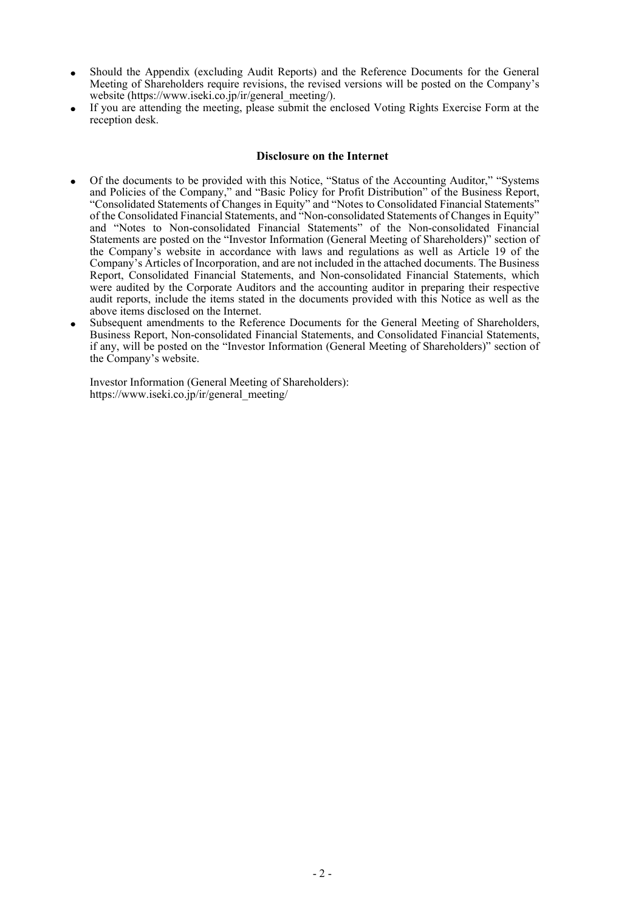- Should the Appendix (excluding Audit Reports) and the Reference Documents for the General Meeting of Shareholders require revisions, the revised versions will be posted on the Company's website [\(https://www.iseki.co.jp/ir/general\\_meeting/\).](https://www.iseki.co.jp/ir/general_meeting/)
- If you are attending the meeting, please submit the enclosed Voting Rights Exercise Form at the reception desk.

#### **Disclosure on the Internet**

- Of the documents to be provided with this Notice, "Status of the Accounting Auditor," "Systems and Policies of the Company," and "Basic Policy for Profit Distribution" of the Business Report, "Consolidated Statements of Changes in Equity" and "Notes to Consolidated Financial Statements" of the Consolidated Financial Statements, and "Non-consolidated Statements of Changes in Equity" and "Notes to Non-consolidated Financial Statements" of the Non-consolidated Financial Statements are posted on the "Investor Information (General Meeting of Shareholders)" section of the Company's website in accordance with laws and regulations as well as Article 19 of the Company's Articles of Incorporation, and are not included in the attached documents. The Business Report, Consolidated Financial Statements, and Non-consolidated Financial Statements, which were audited by the Corporate Auditors and the accounting auditor in preparing their respective audit reports, include the items stated in the documents provided with this Notice as well as the above items disclosed on the Internet.
- Subsequent amendments to the Reference Documents for the General Meeting of Shareholders, Business Report, Non-consolidated Financial Statements, and Consolidated Financial Statements, if any, will be posted on the "Investor Information (General Meeting of Shareholders)" section of the Company's website.

Investor Information (General Meeting of Shareholders): [https://www.iseki.co.jp/ir/general\\_meeting/](https://www.iseki.co.jp/ir/general_meeting/)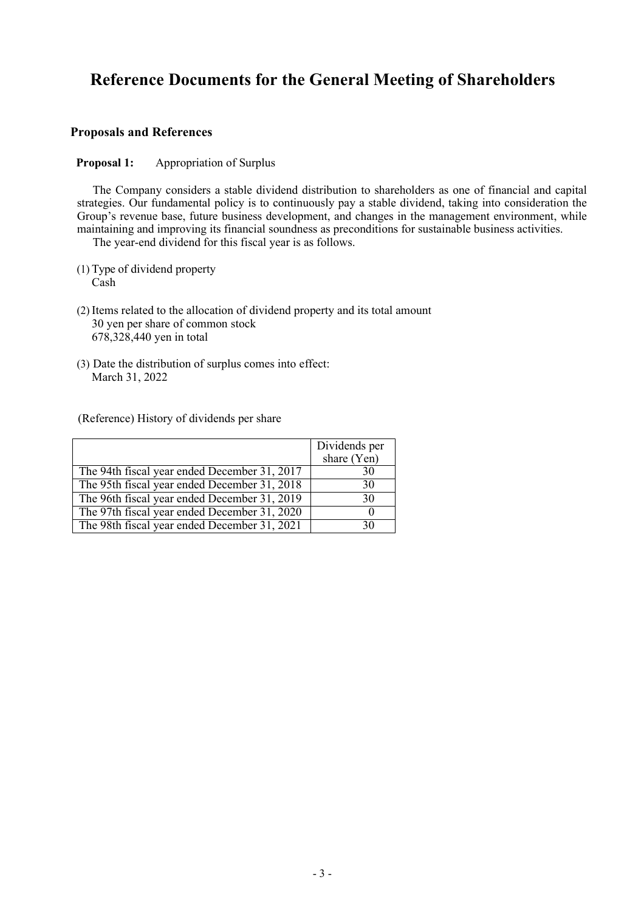# **Reference Documents for the General Meeting of Shareholders**

# **Proposals and References**

**Proposal 1:** Appropriation of Surplus

The Company considers a stable dividend distribution to shareholders as one of financial and capital strategies. Our fundamental policy is to continuously pay a stable dividend, taking into consideration the Group's revenue base, future business development, and changes in the management environment, while maintaining and improving its financial soundness as preconditions for sustainable business activities.

The year-end dividend for this fiscal year is as follows.

- (1) Type of dividend property Cash
- (2) Items related to the allocation of dividend property and its total amount 30 yen per share of common stock 678,328,440 yen in total
- (3) Date the distribution of surplus comes into effect: March 31, 2022

(Reference) History of dividends per share

|                                              | Dividends per<br>share (Yen) |
|----------------------------------------------|------------------------------|
|                                              |                              |
| The 94th fiscal year ended December 31, 2017 | 30                           |
| The 95th fiscal year ended December 31, 2018 | 30                           |
| The 96th fiscal year ended December 31, 2019 | 30                           |
| The 97th fiscal year ended December 31, 2020 |                              |
| The 98th fiscal year ended December 31, 2021 | 30                           |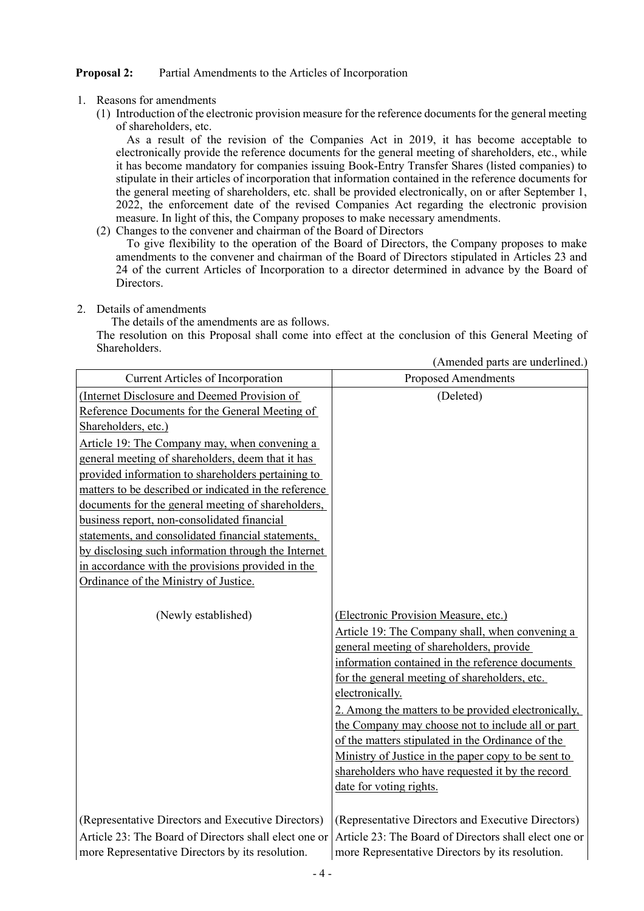### **Proposal 2:** Partial Amendments to the Articles of Incorporation

- 1. Reasons for amendments
	- (1) Introduction of the electronic provision measure for the reference documentsfor the general meeting of shareholders, etc.

As a result of the revision of the Companies Act in 2019, it has become acceptable to electronically provide the reference documents for the general meeting of shareholders, etc., while it has become mandatory for companies issuing Book-Entry Transfer Shares (listed companies) to stipulate in their articles of incorporation that information contained in the reference documents for the general meeting of shareholders, etc. shall be provided electronically, on or after September 1, 2022, the enforcement date of the revised Companies Act regarding the electronic provision measure. In light of this, the Company proposes to make necessary amendments.

(2) Changes to the convener and chairman of the Board of Directors

To give flexibility to the operation of the Board of Directors, the Company proposes to make amendments to the convener and chairman of the Board of Directors stipulated in Articles 23 and 24 of the current Articles of Incorporation to a director determined in advance by the Board of Directors.

2. Details of amendments

The details of the amendments are as follows.

The resolution on this Proposal shall come into effect at the conclusion of this General Meeting of Shareholders. (Amended parts are underlined.)

|                                                       | (Amended parts are underlined.)                       |
|-------------------------------------------------------|-------------------------------------------------------|
| <b>Current Articles of Incorporation</b>              | <b>Proposed Amendments</b>                            |
| (Internet Disclosure and Deemed Provision of          | (Deleted)                                             |
| Reference Documents for the General Meeting of        |                                                       |
| Shareholders, etc.)                                   |                                                       |
| Article 19: The Company may, when convening a         |                                                       |
| general meeting of shareholders, deem that it has     |                                                       |
| provided information to shareholders pertaining to    |                                                       |
| matters to be described or indicated in the reference |                                                       |
| documents for the general meeting of shareholders,    |                                                       |
| business report, non-consolidated financial           |                                                       |
| statements, and consolidated financial statements,    |                                                       |
| by disclosing such information through the Internet   |                                                       |
| in accordance with the provisions provided in the     |                                                       |
| Ordinance of the Ministry of Justice.                 |                                                       |
|                                                       |                                                       |
| (Newly established)                                   | (Electronic Provision Measure, etc.)                  |
|                                                       | Article 19: The Company shall, when convening a       |
|                                                       | general meeting of shareholders, provide              |
|                                                       | information contained in the reference documents      |
|                                                       | for the general meeting of shareholders, etc.         |
|                                                       | electronically.                                       |
|                                                       | 2. Among the matters to be provided electronically,   |
|                                                       | the Company may choose not to include all or part     |
|                                                       | of the matters stipulated in the Ordinance of the     |
|                                                       | Ministry of Justice in the paper copy to be sent to   |
|                                                       | shareholders who have requested it by the record      |
|                                                       | date for voting rights.                               |
|                                                       |                                                       |
| (Representative Directors and Executive Directors)    | (Representative Directors and Executive Directors)    |
| Article 23: The Board of Directors shall elect one or | Article 23: The Board of Directors shall elect one or |
| more Representative Directors by its resolution.      | more Representative Directors by its resolution.      |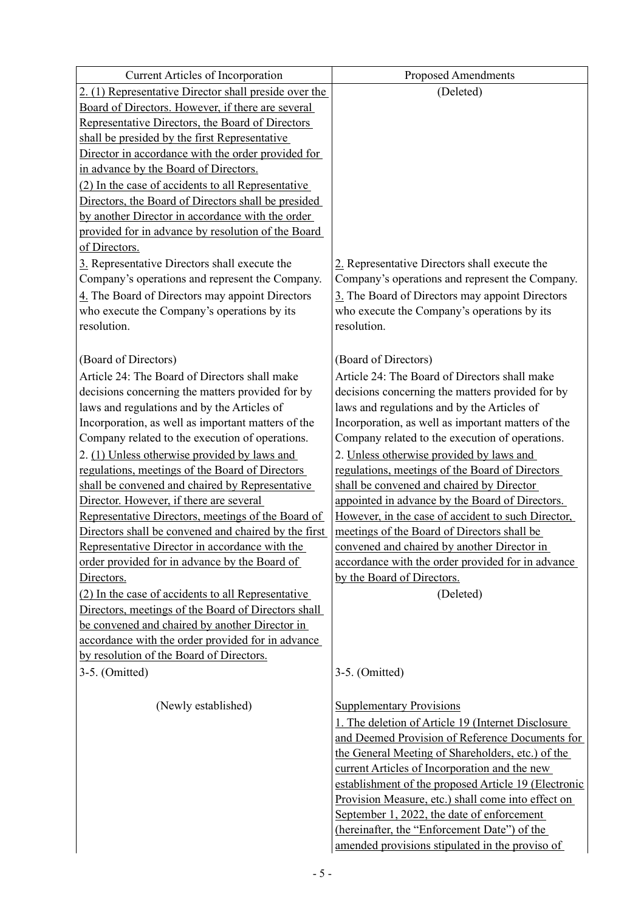| <b>Current Articles of Incorporation</b>              | <b>Proposed Amendments</b>                                                                            |
|-------------------------------------------------------|-------------------------------------------------------------------------------------------------------|
| 2. (1) Representative Director shall preside over the | (Deleted)                                                                                             |
| Board of Directors. However, if there are several     |                                                                                                       |
| Representative Directors, the Board of Directors      |                                                                                                       |
| shall be presided by the first Representative         |                                                                                                       |
| Director in accordance with the order provided for    |                                                                                                       |
| in advance by the Board of Directors.                 |                                                                                                       |
| (2) In the case of accidents to all Representative    |                                                                                                       |
| Directors, the Board of Directors shall be presided   |                                                                                                       |
| by another Director in accordance with the order      |                                                                                                       |
| provided for in advance by resolution of the Board    |                                                                                                       |
| of Directors.                                         |                                                                                                       |
| 3. Representative Directors shall execute the         | 2. Representative Directors shall execute the                                                         |
| Company's operations and represent the Company.       | Company's operations and represent the Company.                                                       |
| 4. The Board of Directors may appoint Directors       | 3. The Board of Directors may appoint Directors                                                       |
| who execute the Company's operations by its           | who execute the Company's operations by its                                                           |
| resolution.                                           | resolution.                                                                                           |
|                                                       |                                                                                                       |
| (Board of Directors)                                  | (Board of Directors)                                                                                  |
| Article 24: The Board of Directors shall make         | Article 24: The Board of Directors shall make                                                         |
| decisions concerning the matters provided for by      | decisions concerning the matters provided for by                                                      |
| laws and regulations and by the Articles of           | laws and regulations and by the Articles of                                                           |
| Incorporation, as well as important matters of the    | Incorporation, as well as important matters of the                                                    |
| Company related to the execution of operations.       | Company related to the execution of operations.                                                       |
| 2. (1) Unless otherwise provided by laws and          | 2. Unless otherwise provided by laws and                                                              |
| regulations, meetings of the Board of Directors       | regulations, meetings of the Board of Directors                                                       |
| shall be convened and chaired by Representative       | shall be convened and chaired by Director                                                             |
| Director. However, if there are several               | appointed in advance by the Board of Directors.                                                       |
| Representative Directors, meetings of the Board of    | However, in the case of accident to such Director,                                                    |
| Directors shall be convened and chaired by the first  | meetings of the Board of Directors shall be                                                           |
| Representative Director in accordance with the        | convened and chaired by another Director in                                                           |
| order provided for in advance by the Board of         | accordance with the order provided for in advance                                                     |
| Directors.                                            | by the Board of Directors.                                                                            |
| (2) In the case of accidents to all Representative    | (Deleted)                                                                                             |
| Directors, meetings of the Board of Directors shall   |                                                                                                       |
| be convened and chaired by another Director in        |                                                                                                       |
| accordance with the order provided for in advance     |                                                                                                       |
| by resolution of the Board of Directors.              |                                                                                                       |
| 3-5. (Omitted)                                        | 3-5. (Omitted)                                                                                        |
|                                                       |                                                                                                       |
| (Newly established)                                   | <b>Supplementary Provisions</b>                                                                       |
|                                                       | 1. The deletion of Article 19 (Internet Disclosure                                                    |
|                                                       | and Deemed Provision of Reference Documents for                                                       |
|                                                       | the General Meeting of Shareholders, etc.) of the                                                     |
|                                                       | current Articles of Incorporation and the new<br>establishment of the proposed Article 19 (Electronic |
|                                                       | Provision Measure, etc.) shall come into effect on                                                    |
|                                                       | September 1, 2022, the date of enforcement                                                            |
|                                                       | (hereinafter, the "Enforcement Date") of the                                                          |
|                                                       | amended provisions stipulated in the proviso of                                                       |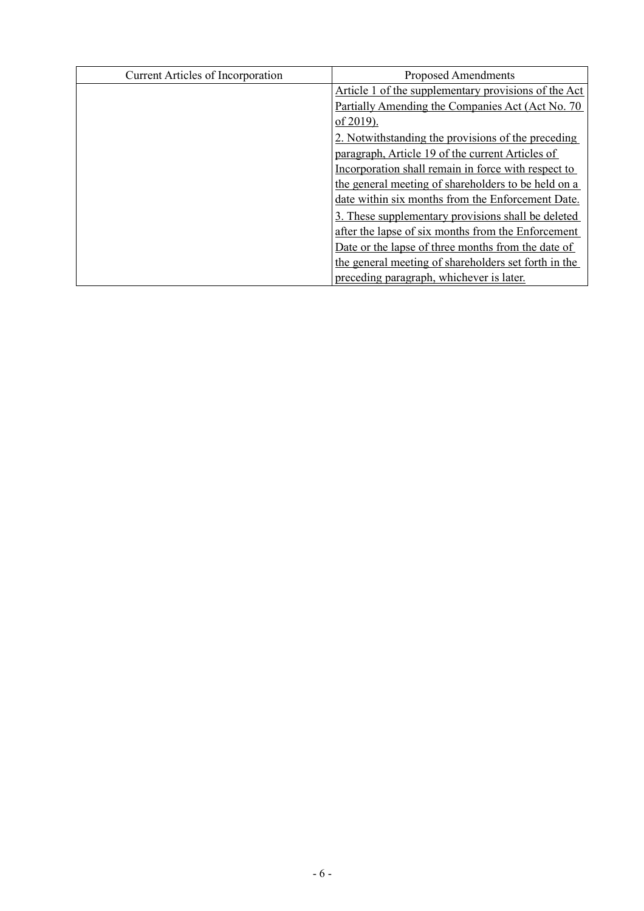| <b>Current Articles of Incorporation</b> | <b>Proposed Amendments</b>                           |
|------------------------------------------|------------------------------------------------------|
|                                          | Article 1 of the supplementary provisions of the Act |
|                                          | Partially Amending the Companies Act (Act No. 70)    |
|                                          | of 2019).                                            |
|                                          | 2. Notwithstanding the provisions of the preceding   |
|                                          | paragraph, Article 19 of the current Articles of     |
|                                          | Incorporation shall remain in force with respect to  |
|                                          | the general meeting of shareholders to be held on a  |
|                                          | date within six months from the Enforcement Date.    |
|                                          | 3. These supplementary provisions shall be deleted   |
|                                          | after the lapse of six months from the Enforcement   |
|                                          | Date or the lapse of three months from the date of   |
|                                          | the general meeting of shareholders set forth in the |
|                                          | preceding paragraph, whichever is later.             |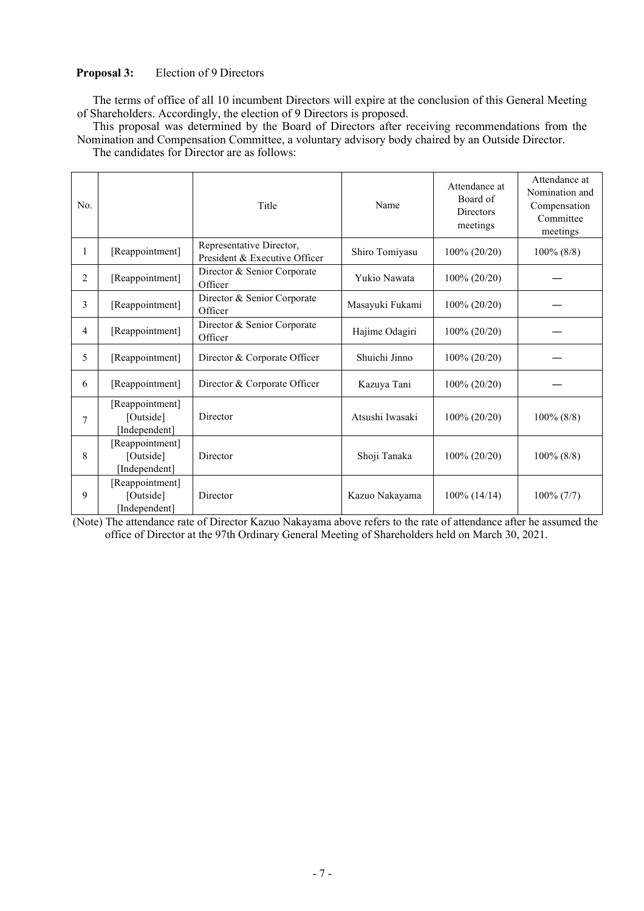#### **Proposal 3:** Election of 9 Directors

The terms of office of all 10 incumbent Directors will expire at the conclusion of this General Meeting of Shareholders. Accordingly, the election of 9 Directors is proposed.

This proposal was determined by the Board of Directors after receiving recommendations from the Nomination and Compensation Committee, a voluntary advisory body chaired by an Outside Director. The candidates for Director are as follows:

| No.            |                                               | Title                                                     | Name            | Attendance at<br>Board of<br><b>Directors</b><br>meetings | Attendance at<br>Nomination and<br>Compensation<br>Committee<br>meetings |
|----------------|-----------------------------------------------|-----------------------------------------------------------|-----------------|-----------------------------------------------------------|--------------------------------------------------------------------------|
| 1              | [Reappointment]                               | Representative Director,<br>President & Executive Officer | Shiro Tomiyasu  | 100% (20/20)                                              | $100\%$ (8/8)                                                            |
| $\overline{2}$ | [Reappointment]                               | Director & Senior Corporate<br>Officer                    | Yukio Nawata    | 100% (20/20)                                              |                                                                          |
| 3              | [Reappointment]                               | Director & Senior Corporate<br>Officer                    | Masayuki Fukami | 100% (20/20)                                              |                                                                          |
| $\overline{4}$ | [Reappointment]                               | Director & Senior Corporate<br>Officer                    | Hajime Odagiri  | $100\% (20/20)$                                           |                                                                          |
| 5              | [Reappointment]                               | Director & Corporate Officer                              | Shuichi Jinno   | 100% (20/20)                                              |                                                                          |
| 6              | [Reappointment]                               | Director & Corporate Officer                              | Kazuya Tani     | 100% (20/20)                                              |                                                                          |
| 7              | [Reappointment]<br>[Outside]<br>[Independent] | Director                                                  | Atsushi Iwasaki | 100% (20/20)                                              | $100\%$ (8/8)                                                            |
| 8              | [Reappointment]<br>[Outside]<br>[Independent] | Director                                                  | Shoji Tanaka    | 100% (20/20)                                              | $100\%$ (8/8)                                                            |
| 9              | [Reappointment]<br>[Outside]<br>[Independent] | Director                                                  | Kazuo Nakayama  | $100\%$ (14/14)                                           | $100\% (7/7)$                                                            |

(Note) The attendance rate of Director Kazuo Nakayama above refers to the rate of attendance after he assumed the office of Director at the 97th Ordinary General Meeting of Shareholders held on March 30, 2021.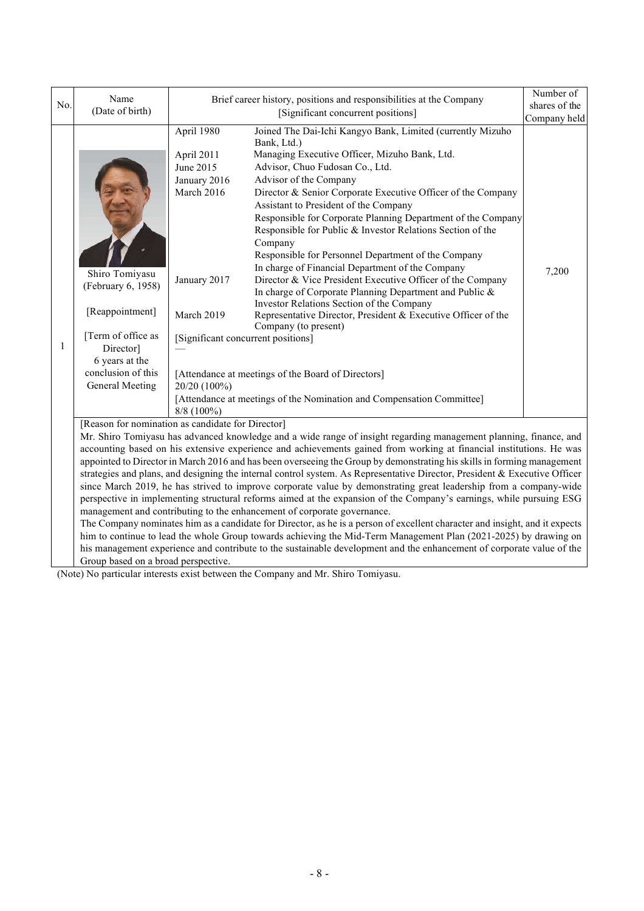|                                                                                                                                                                     | Name                                                                                                                                                         |                                                                                                                                                                         | Brief career history, positions and responsibilities at the Company                                                                                                                                                                                                                                                                                                                                                                                                                                                                                                                                                                                                                                                                                                                                                                                                                                                                                                                                                                                                                                                       | Number of     |
|---------------------------------------------------------------------------------------------------------------------------------------------------------------------|--------------------------------------------------------------------------------------------------------------------------------------------------------------|-------------------------------------------------------------------------------------------------------------------------------------------------------------------------|---------------------------------------------------------------------------------------------------------------------------------------------------------------------------------------------------------------------------------------------------------------------------------------------------------------------------------------------------------------------------------------------------------------------------------------------------------------------------------------------------------------------------------------------------------------------------------------------------------------------------------------------------------------------------------------------------------------------------------------------------------------------------------------------------------------------------------------------------------------------------------------------------------------------------------------------------------------------------------------------------------------------------------------------------------------------------------------------------------------------------|---------------|
| No.                                                                                                                                                                 | (Date of birth)                                                                                                                                              | [Significant concurrent positions]                                                                                                                                      |                                                                                                                                                                                                                                                                                                                                                                                                                                                                                                                                                                                                                                                                                                                                                                                                                                                                                                                                                                                                                                                                                                                           | shares of the |
|                                                                                                                                                                     |                                                                                                                                                              |                                                                                                                                                                         |                                                                                                                                                                                                                                                                                                                                                                                                                                                                                                                                                                                                                                                                                                                                                                                                                                                                                                                                                                                                                                                                                                                           | Company held  |
| 1                                                                                                                                                                   | Shiro Tomiyasu<br>(February 6, 1958)<br>[Reappointment]<br>[Term of office as<br>Director]<br>6 years at the<br>conclusion of this<br><b>General Meeting</b> | April 1980<br>April 2011<br>June 2015<br>January 2016<br>March 2016<br>January 2017<br>March 2019<br>[Significant concurrent positions]<br>20/20 (100%)<br>$8/8$ (100%) | Joined The Dai-Ichi Kangyo Bank, Limited (currently Mizuho<br>Bank, Ltd.)<br>Managing Executive Officer, Mizuho Bank, Ltd.<br>Advisor, Chuo Fudosan Co., Ltd.<br>Advisor of the Company<br>Director & Senior Corporate Executive Officer of the Company<br>Assistant to President of the Company<br>Responsible for Corporate Planning Department of the Company<br>Responsible for Public & Investor Relations Section of the<br>Company<br>Responsible for Personnel Department of the Company<br>In charge of Financial Department of the Company<br>Director & Vice President Executive Officer of the Company<br>In charge of Corporate Planning Department and Public &<br>Investor Relations Section of the Company<br>Representative Director, President & Executive Officer of the<br>Company (to present)<br>[Attendance at meetings of the Board of Directors]<br>[Attendance at meetings of the Nomination and Compensation Committee]                                                                                                                                                                        | 7,200         |
| [Reason for nomination as candidate for Director]<br>management and contributing to the enhancement of corporate governance.<br>Group based on a broad perspective. |                                                                                                                                                              |                                                                                                                                                                         | Mr. Shiro Tomiyasu has advanced knowledge and a wide range of insight regarding management planning, finance, and<br>accounting based on his extensive experience and achievements gained from working at financial institutions. He was<br>appointed to Director in March 2016 and has been overseeing the Group by demonstrating his skills in forming management<br>strategies and plans, and designing the internal control system. As Representative Director, President & Executive Officer<br>since March 2019, he has strived to improve corporate value by demonstrating great leadership from a company-wide<br>perspective in implementing structural reforms aimed at the expansion of the Company's earnings, while pursuing ESG<br>The Company nominates him as a candidate for Director, as he is a person of excellent character and insight, and it expects<br>him to continue to lead the whole Group towards achieving the Mid-Term Management Plan (2021-2025) by drawing on<br>his management experience and contribute to the sustainable development and the enhancement of corporate value of the |               |

(Note) No particular interests exist between the Company and Mr. Shiro Tomiyasu.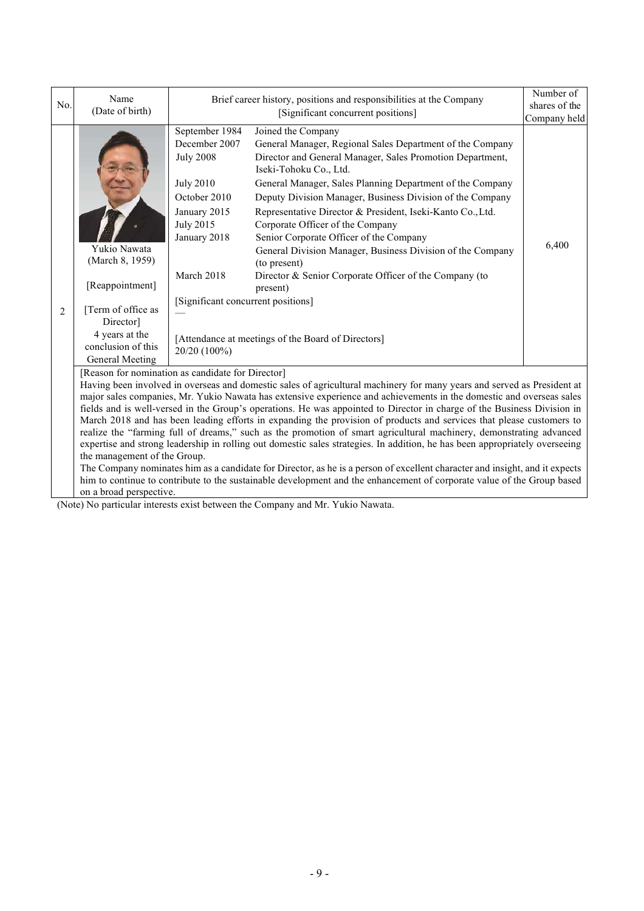|                | Name                                                                                                                                                                                                                                                                                                                                                                                                                                                                                                                                                                                                                                                                                                                                                                                                                                                                                                                                                                                                                                                                                                                              |                                                                                                                                                                                                                 | Brief career history, positions and responsibilities at the Company                                                                                                                                                                                                                                                                                                                                                                                                                                                                                                                                                                                     | Number of                     |  |
|----------------|-----------------------------------------------------------------------------------------------------------------------------------------------------------------------------------------------------------------------------------------------------------------------------------------------------------------------------------------------------------------------------------------------------------------------------------------------------------------------------------------------------------------------------------------------------------------------------------------------------------------------------------------------------------------------------------------------------------------------------------------------------------------------------------------------------------------------------------------------------------------------------------------------------------------------------------------------------------------------------------------------------------------------------------------------------------------------------------------------------------------------------------|-----------------------------------------------------------------------------------------------------------------------------------------------------------------------------------------------------------------|---------------------------------------------------------------------------------------------------------------------------------------------------------------------------------------------------------------------------------------------------------------------------------------------------------------------------------------------------------------------------------------------------------------------------------------------------------------------------------------------------------------------------------------------------------------------------------------------------------------------------------------------------------|-------------------------------|--|
| No.            | (Date of birth)                                                                                                                                                                                                                                                                                                                                                                                                                                                                                                                                                                                                                                                                                                                                                                                                                                                                                                                                                                                                                                                                                                                   |                                                                                                                                                                                                                 | [Significant concurrent positions]                                                                                                                                                                                                                                                                                                                                                                                                                                                                                                                                                                                                                      | shares of the<br>Company held |  |
| $\overline{2}$ | Yukio Nawata<br>(March 8, 1959)<br>[Reappointment]<br>[Term of office as<br>Director]<br>4 years at the<br>conclusion of this<br>General Meeting                                                                                                                                                                                                                                                                                                                                                                                                                                                                                                                                                                                                                                                                                                                                                                                                                                                                                                                                                                                  | September 1984<br>December 2007<br><b>July 2008</b><br><b>July 2010</b><br>October 2010<br>January 2015<br><b>July 2015</b><br>January 2018<br>March 2018<br>[Significant concurrent positions]<br>20/20 (100%) | Joined the Company<br>General Manager, Regional Sales Department of the Company<br>Director and General Manager, Sales Promotion Department,<br>Iseki-Tohoku Co., Ltd.<br>General Manager, Sales Planning Department of the Company<br>Deputy Division Manager, Business Division of the Company<br>Representative Director & President, Iseki-Kanto Co., Ltd.<br>Corporate Officer of the Company<br>Senior Corporate Officer of the Company<br>General Division Manager, Business Division of the Company<br>(to present)<br>Director & Senior Corporate Officer of the Company (to<br>present)<br>[Attendance at meetings of the Board of Directors] | 6,400                         |  |
|                | [Reason for nomination as candidate for Director]<br>Having been involved in overseas and domestic sales of agricultural machinery for many years and served as President at<br>major sales companies, Mr. Yukio Nawata has extensive experience and achievements in the domestic and overseas sales<br>fields and is well-versed in the Group's operations. He was appointed to Director in charge of the Business Division in<br>March 2018 and has been leading efforts in expanding the provision of products and services that please customers to<br>realize the "farming full of dreams," such as the promotion of smart agricultural machinery, demonstrating advanced<br>expertise and strong leadership in rolling out domestic sales strategies. In addition, he has been appropriately overseeing<br>the management of the Group.<br>The Company nominates him as a candidate for Director, as he is a person of excellent character and insight, and it expects<br>him to continue to contribute to the sustainable development and the enhancement of corporate value of the Group based<br>on a broad perspective. |                                                                                                                                                                                                                 |                                                                                                                                                                                                                                                                                                                                                                                                                                                                                                                                                                                                                                                         |                               |  |

(Note) No particular interests exist between the Company and Mr. Yukio Nawata.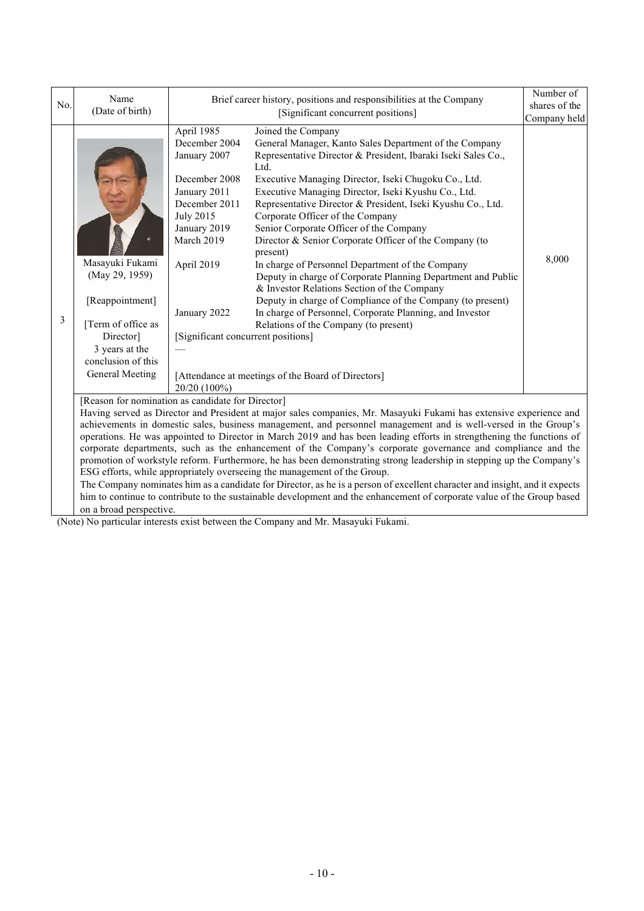|     | Name                                                                                                                                                                                                                                  |                                                                                                                                                                                                                                     | Brief career history, positions and responsibilities at the Company                                                                                                                                                                                                                                                                                                                                                                                                                                                                                                                                                                                                                                                                                                                                                                                                                  | Number of     |  |  |
|-----|---------------------------------------------------------------------------------------------------------------------------------------------------------------------------------------------------------------------------------------|-------------------------------------------------------------------------------------------------------------------------------------------------------------------------------------------------------------------------------------|--------------------------------------------------------------------------------------------------------------------------------------------------------------------------------------------------------------------------------------------------------------------------------------------------------------------------------------------------------------------------------------------------------------------------------------------------------------------------------------------------------------------------------------------------------------------------------------------------------------------------------------------------------------------------------------------------------------------------------------------------------------------------------------------------------------------------------------------------------------------------------------|---------------|--|--|
| No. | (Date of birth)                                                                                                                                                                                                                       |                                                                                                                                                                                                                                     | [Significant concurrent positions]                                                                                                                                                                                                                                                                                                                                                                                                                                                                                                                                                                                                                                                                                                                                                                                                                                                   | shares of the |  |  |
|     |                                                                                                                                                                                                                                       |                                                                                                                                                                                                                                     |                                                                                                                                                                                                                                                                                                                                                                                                                                                                                                                                                                                                                                                                                                                                                                                                                                                                                      | Company held  |  |  |
| 3   | Masayuki Fukami<br>(May 29, 1959)<br>[Reappointment]<br>[Term of office as<br>Director]<br>3 years at the<br>conclusion of this<br>General Meeting                                                                                    | April 1985<br>December 2004<br>January 2007<br>December 2008<br>January 2011<br>December 2011<br><b>July 2015</b><br>January 2019<br>March 2019<br>April 2019<br>January 2022<br>[Significant concurrent positions]<br>20/20 (100%) | Joined the Company<br>General Manager, Kanto Sales Department of the Company<br>Representative Director & President, Ibaraki Iseki Sales Co.,<br>Ltd.<br>Executive Managing Director, Iseki Chugoku Co., Ltd.<br>Executive Managing Director, Iseki Kyushu Co., Ltd.<br>Representative Director & President, Iseki Kyushu Co., Ltd.<br>Corporate Officer of the Company<br>Senior Corporate Officer of the Company<br>Director & Senior Corporate Officer of the Company (to<br>present)<br>In charge of Personnel Department of the Company<br>Deputy in charge of Corporate Planning Department and Public<br>& Investor Relations Section of the Company<br>Deputy in charge of Compliance of the Company (to present)<br>In charge of Personnel, Corporate Planning, and Investor<br>Relations of the Company (to present)<br>[Attendance at meetings of the Board of Directors] | 8,000         |  |  |
|     |                                                                                                                                                                                                                                       |                                                                                                                                                                                                                                     |                                                                                                                                                                                                                                                                                                                                                                                                                                                                                                                                                                                                                                                                                                                                                                                                                                                                                      |               |  |  |
|     | [Reason for nomination as candidate for Director]                                                                                                                                                                                     |                                                                                                                                                                                                                                     |                                                                                                                                                                                                                                                                                                                                                                                                                                                                                                                                                                                                                                                                                                                                                                                                                                                                                      |               |  |  |
|     | Having served as Director and President at major sales companies, Mr. Masayuki Fukami has extensive experience and<br>achievements in domestic sales, business management, and personnel management and is well-versed in the Group's |                                                                                                                                                                                                                                     |                                                                                                                                                                                                                                                                                                                                                                                                                                                                                                                                                                                                                                                                                                                                                                                                                                                                                      |               |  |  |
|     | operations. He was appointed to Director in March 2019 and has been leading efforts in strengthening the functions of                                                                                                                 |                                                                                                                                                                                                                                     |                                                                                                                                                                                                                                                                                                                                                                                                                                                                                                                                                                                                                                                                                                                                                                                                                                                                                      |               |  |  |
|     |                                                                                                                                                                                                                                       |                                                                                                                                                                                                                                     | corporate departments, such as the enhancement of the Company's corporate governance and compliance and the                                                                                                                                                                                                                                                                                                                                                                                                                                                                                                                                                                                                                                                                                                                                                                          |               |  |  |
|     |                                                                                                                                                                                                                                       |                                                                                                                                                                                                                                     | promotion of workstyle reform. Furthermore, he has been demonstrating strong leadership in stepping up the Company's                                                                                                                                                                                                                                                                                                                                                                                                                                                                                                                                                                                                                                                                                                                                                                 |               |  |  |
|     |                                                                                                                                                                                                                                       |                                                                                                                                                                                                                                     | ESG efforts, while appropriately overseeing the management of the Group.                                                                                                                                                                                                                                                                                                                                                                                                                                                                                                                                                                                                                                                                                                                                                                                                             |               |  |  |
|     |                                                                                                                                                                                                                                       |                                                                                                                                                                                                                                     | The Company nominates him as a candidate for Director, as he is a person of excellent character and insight, and it expects                                                                                                                                                                                                                                                                                                                                                                                                                                                                                                                                                                                                                                                                                                                                                          |               |  |  |
|     |                                                                                                                                                                                                                                       | him to continue to contribute to the sustainable development and the enhancement of corporate value of the Group based                                                                                                              |                                                                                                                                                                                                                                                                                                                                                                                                                                                                                                                                                                                                                                                                                                                                                                                                                                                                                      |               |  |  |
|     | on a broad perspective.                                                                                                                                                                                                               |                                                                                                                                                                                                                                     |                                                                                                                                                                                                                                                                                                                                                                                                                                                                                                                                                                                                                                                                                                                                                                                                                                                                                      |               |  |  |

(Note) No particular interests exist between the Company and Mr. Masayuki Fukami.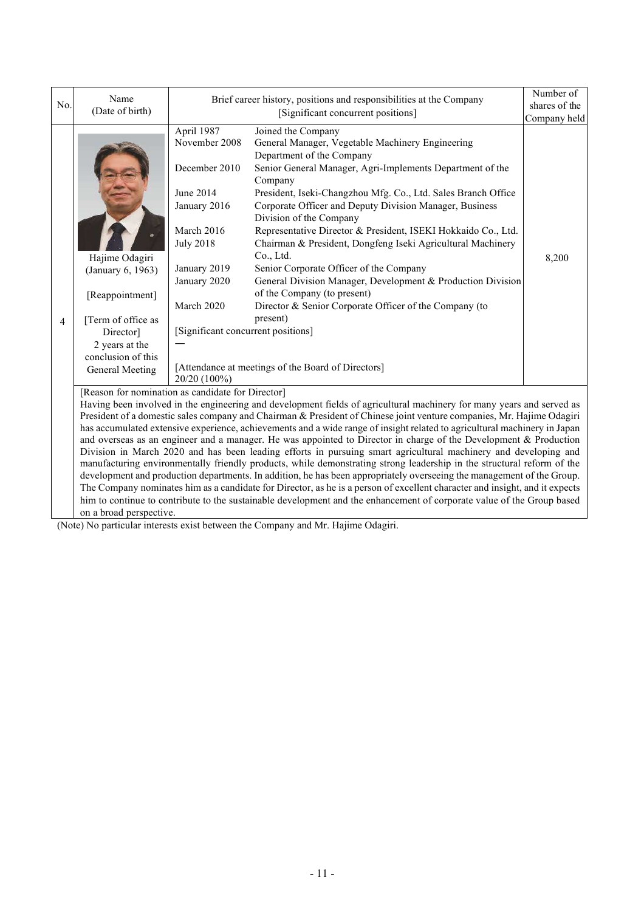|                | Name                                                                                                                                                                                                                                                                                                                                                                                                                                                                                                                                                                                                                                                                                                                                                                                                                                                                                                                                                                                                                                                                                                                                                                                                             |                                                                                                                                                                                                                 | Brief career history, positions and responsibilities at the Company                                                                                                                                                                                                                                                                                                                                                                                                                                                                                                                                                                                                                                                                                  | Number of     |
|----------------|------------------------------------------------------------------------------------------------------------------------------------------------------------------------------------------------------------------------------------------------------------------------------------------------------------------------------------------------------------------------------------------------------------------------------------------------------------------------------------------------------------------------------------------------------------------------------------------------------------------------------------------------------------------------------------------------------------------------------------------------------------------------------------------------------------------------------------------------------------------------------------------------------------------------------------------------------------------------------------------------------------------------------------------------------------------------------------------------------------------------------------------------------------------------------------------------------------------|-----------------------------------------------------------------------------------------------------------------------------------------------------------------------------------------------------------------|------------------------------------------------------------------------------------------------------------------------------------------------------------------------------------------------------------------------------------------------------------------------------------------------------------------------------------------------------------------------------------------------------------------------------------------------------------------------------------------------------------------------------------------------------------------------------------------------------------------------------------------------------------------------------------------------------------------------------------------------------|---------------|
| No.            | (Date of birth)                                                                                                                                                                                                                                                                                                                                                                                                                                                                                                                                                                                                                                                                                                                                                                                                                                                                                                                                                                                                                                                                                                                                                                                                  |                                                                                                                                                                                                                 | [Significant concurrent positions]                                                                                                                                                                                                                                                                                                                                                                                                                                                                                                                                                                                                                                                                                                                   | shares of the |
|                |                                                                                                                                                                                                                                                                                                                                                                                                                                                                                                                                                                                                                                                                                                                                                                                                                                                                                                                                                                                                                                                                                                                                                                                                                  |                                                                                                                                                                                                                 |                                                                                                                                                                                                                                                                                                                                                                                                                                                                                                                                                                                                                                                                                                                                                      | Company held  |
| $\overline{4}$ | Hajime Odagiri<br>(January 6, 1963)<br>[Reappointment]<br>[Term of office as<br>Director]<br>2 years at the<br>conclusion of this<br><b>General Meeting</b>                                                                                                                                                                                                                                                                                                                                                                                                                                                                                                                                                                                                                                                                                                                                                                                                                                                                                                                                                                                                                                                      | April 1987<br>November 2008<br>December 2010<br>June 2014<br>January 2016<br>March 2016<br><b>July 2018</b><br>January 2019<br>January 2020<br>March 2020<br>[Significant concurrent positions]<br>20/20 (100%) | Joined the Company<br>General Manager, Vegetable Machinery Engineering<br>Department of the Company<br>Senior General Manager, Agri-Implements Department of the<br>Company<br>President, Iseki-Changzhou Mfg. Co., Ltd. Sales Branch Office<br>Corporate Officer and Deputy Division Manager, Business<br>Division of the Company<br>Representative Director & President, ISEKI Hokkaido Co., Ltd.<br>Chairman & President, Dongfeng Iseki Agricultural Machinery<br>Co., Ltd.<br>Senior Corporate Officer of the Company<br>General Division Manager, Development & Production Division<br>of the Company (to present)<br>Director & Senior Corporate Officer of the Company (to<br>present)<br>[Attendance at meetings of the Board of Directors] | 8,200         |
|                | [Reason for nomination as candidate for Director]<br>Having been involved in the engineering and development fields of agricultural machinery for many years and served as<br>President of a domestic sales company and Chairman & President of Chinese joint venture companies, Mr. Hajime Odagiri<br>has accumulated extensive experience, achievements and a wide range of insight related to agricultural machinery in Japan<br>and overseas as an engineer and a manager. He was appointed to Director in charge of the Development & Production<br>Division in March 2020 and has been leading efforts in pursuing smart agricultural machinery and developing and<br>manufacturing environmentally friendly products, while demonstrating strong leadership in the structural reform of the<br>development and production departments. In addition, he has been appropriately overseeing the management of the Group.<br>The Company nominates him as a candidate for Director, as he is a person of excellent character and insight, and it expects<br>him to continue to contribute to the sustainable development and the enhancement of corporate value of the Group based<br>on a broad perspective. |                                                                                                                                                                                                                 |                                                                                                                                                                                                                                                                                                                                                                                                                                                                                                                                                                                                                                                                                                                                                      |               |

(Note) No particular interests exist between the Company and Mr. Hajime Odagiri.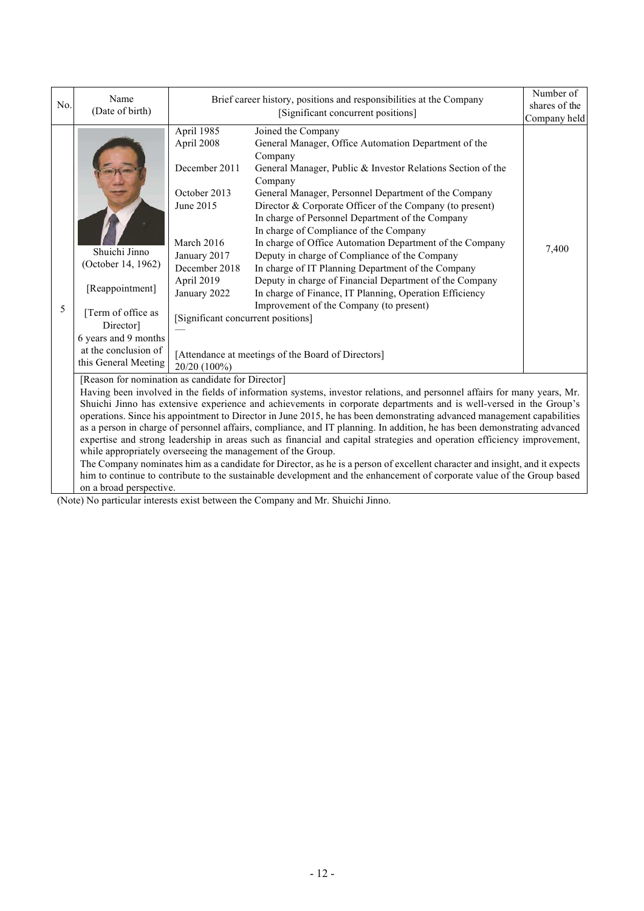| No. | Name<br>Brief career history, positions and responsibilities at the Company<br>(Date of birth)<br>[Significant concurrent positions]                                                                                                                                                                                                                                                                                                                                                                                                                                                                                                                                                                                                                                                                                          |                                                                                                                                                   | Number of<br>shares of the                                                                                                                                                                                                                                                                                                                                                                                                                                                                                                                                                                                                                                                                                            |              |  |  |
|-----|-------------------------------------------------------------------------------------------------------------------------------------------------------------------------------------------------------------------------------------------------------------------------------------------------------------------------------------------------------------------------------------------------------------------------------------------------------------------------------------------------------------------------------------------------------------------------------------------------------------------------------------------------------------------------------------------------------------------------------------------------------------------------------------------------------------------------------|---------------------------------------------------------------------------------------------------------------------------------------------------|-----------------------------------------------------------------------------------------------------------------------------------------------------------------------------------------------------------------------------------------------------------------------------------------------------------------------------------------------------------------------------------------------------------------------------------------------------------------------------------------------------------------------------------------------------------------------------------------------------------------------------------------------------------------------------------------------------------------------|--------------|--|--|
|     |                                                                                                                                                                                                                                                                                                                                                                                                                                                                                                                                                                                                                                                                                                                                                                                                                               |                                                                                                                                                   |                                                                                                                                                                                                                                                                                                                                                                                                                                                                                                                                                                                                                                                                                                                       | Company held |  |  |
| 5   | April 1985<br>April 2008<br>December 2011<br>October 2013<br>June 2015<br>March 2016<br>Shuichi Jinno<br>January 2017<br>(October 14, 1962)<br>December 2018<br>April 2019<br>[Reappointment]<br>January 2022                                                                                                                                                                                                                                                                                                                                                                                                                                                                                                                                                                                                                 |                                                                                                                                                   | Joined the Company<br>General Manager, Office Automation Department of the<br>Company<br>General Manager, Public & Investor Relations Section of the<br>Company<br>General Manager, Personnel Department of the Company<br>Director & Corporate Officer of the Company (to present)<br>In charge of Personnel Department of the Company<br>In charge of Compliance of the Company<br>In charge of Office Automation Department of the Company<br>Deputy in charge of Compliance of the Company<br>In charge of IT Planning Department of the Company<br>Deputy in charge of Financial Department of the Company<br>In charge of Finance, IT Planning, Operation Efficiency<br>Improvement of the Company (to present) | 7,400        |  |  |
|     | [Term of office as<br>Director]<br>6 years and 9 months<br>at the conclusion of                                                                                                                                                                                                                                                                                                                                                                                                                                                                                                                                                                                                                                                                                                                                               | [Significant concurrent positions]<br>[Attendance at meetings of the Board of Directors]                                                          |                                                                                                                                                                                                                                                                                                                                                                                                                                                                                                                                                                                                                                                                                                                       |              |  |  |
|     | this General Meeting                                                                                                                                                                                                                                                                                                                                                                                                                                                                                                                                                                                                                                                                                                                                                                                                          | 20/20 (100%)                                                                                                                                      |                                                                                                                                                                                                                                                                                                                                                                                                                                                                                                                                                                                                                                                                                                                       |              |  |  |
|     | [Reason for nomination as candidate for Director]                                                                                                                                                                                                                                                                                                                                                                                                                                                                                                                                                                                                                                                                                                                                                                             |                                                                                                                                                   |                                                                                                                                                                                                                                                                                                                                                                                                                                                                                                                                                                                                                                                                                                                       |              |  |  |
|     | Having been involved in the fields of information systems, investor relations, and personnel affairs for many years, Mr.<br>Shuichi Jinno has extensive experience and achievements in corporate departments and is well-versed in the Group's<br>operations. Since his appointment to Director in June 2015, he has been demonstrating advanced management capabilities<br>as a person in charge of personnel affairs, compliance, and IT planning. In addition, he has been demonstrating advanced<br>expertise and strong leadership in areas such as financial and capital strategies and operation efficiency improvement,<br>while appropriately overseeing the management of the Group.<br>The Company nominates him as a candidate for Director, as he is a person of excellent character and insight, and it expects |                                                                                                                                                   |                                                                                                                                                                                                                                                                                                                                                                                                                                                                                                                                                                                                                                                                                                                       |              |  |  |
|     |                                                                                                                                                                                                                                                                                                                                                                                                                                                                                                                                                                                                                                                                                                                                                                                                                               | him to continue to contribute to the sustainable development and the enhancement of corporate value of the Group based<br>on a broad perspective. |                                                                                                                                                                                                                                                                                                                                                                                                                                                                                                                                                                                                                                                                                                                       |              |  |  |

(Note) No particular interests exist between the Company and Mr. Shuichi Jinno.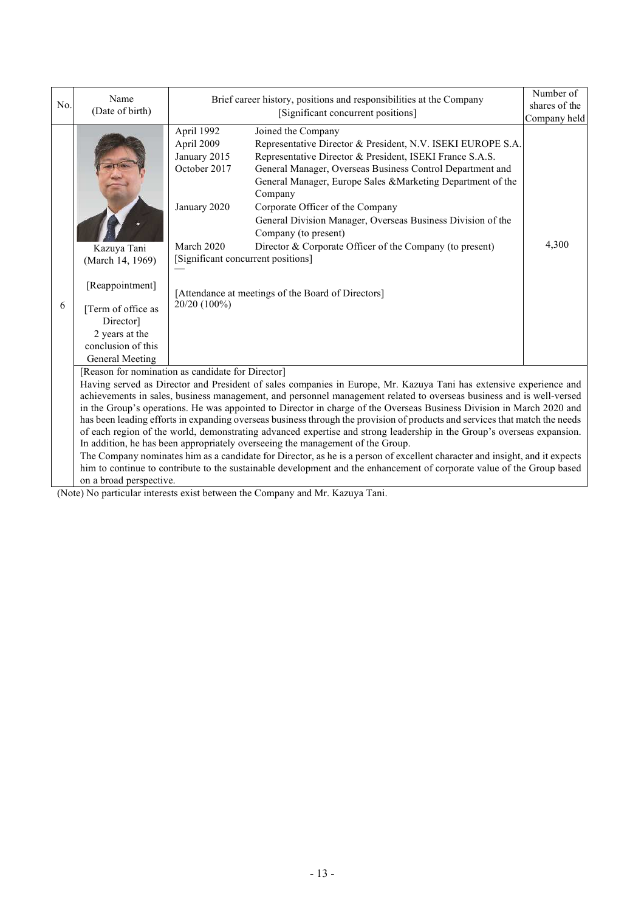|                                                                                                                                                                                                                                                                                                                                                                                                                                                                                                                                                                                                                                                                                                                                                                                                                                                                                                                                                                                                                                                         | Name                                                                                                    |                                                                                                                                              | Brief career history, positions and responsibilities at the Company                                                                                                                                                                                                                                                                                                                                                                                                                                                               | Number of     |
|---------------------------------------------------------------------------------------------------------------------------------------------------------------------------------------------------------------------------------------------------------------------------------------------------------------------------------------------------------------------------------------------------------------------------------------------------------------------------------------------------------------------------------------------------------------------------------------------------------------------------------------------------------------------------------------------------------------------------------------------------------------------------------------------------------------------------------------------------------------------------------------------------------------------------------------------------------------------------------------------------------------------------------------------------------|---------------------------------------------------------------------------------------------------------|----------------------------------------------------------------------------------------------------------------------------------------------|-----------------------------------------------------------------------------------------------------------------------------------------------------------------------------------------------------------------------------------------------------------------------------------------------------------------------------------------------------------------------------------------------------------------------------------------------------------------------------------------------------------------------------------|---------------|
| No.                                                                                                                                                                                                                                                                                                                                                                                                                                                                                                                                                                                                                                                                                                                                                                                                                                                                                                                                                                                                                                                     | (Date of birth)                                                                                         |                                                                                                                                              | [Significant concurrent positions]                                                                                                                                                                                                                                                                                                                                                                                                                                                                                                | shares of the |
|                                                                                                                                                                                                                                                                                                                                                                                                                                                                                                                                                                                                                                                                                                                                                                                                                                                                                                                                                                                                                                                         |                                                                                                         |                                                                                                                                              |                                                                                                                                                                                                                                                                                                                                                                                                                                                                                                                                   | Company held  |
| 6                                                                                                                                                                                                                                                                                                                                                                                                                                                                                                                                                                                                                                                                                                                                                                                                                                                                                                                                                                                                                                                       | Kazuya Tani<br>(March 14, 1969)<br>[Reappointment]<br>[Term of office as<br>Director]<br>2 years at the | April 1992<br>April 2009<br>January 2015<br>October 2017<br>January 2020<br>March 2020<br>[Significant concurrent positions]<br>20/20 (100%) | Joined the Company<br>Representative Director & President, N.V. ISEKI EUROPE S.A.<br>Representative Director & President, ISEKI France S.A.S.<br>General Manager, Overseas Business Control Department and<br>General Manager, Europe Sales & Marketing Department of the<br>Company<br>Corporate Officer of the Company<br>General Division Manager, Overseas Business Division of the<br>Company (to present)<br>Director & Corporate Officer of the Company (to present)<br>[Attendance at meetings of the Board of Directors] | 4,300         |
|                                                                                                                                                                                                                                                                                                                                                                                                                                                                                                                                                                                                                                                                                                                                                                                                                                                                                                                                                                                                                                                         | conclusion of this                                                                                      |                                                                                                                                              |                                                                                                                                                                                                                                                                                                                                                                                                                                                                                                                                   |               |
|                                                                                                                                                                                                                                                                                                                                                                                                                                                                                                                                                                                                                                                                                                                                                                                                                                                                                                                                                                                                                                                         | General Meeting                                                                                         |                                                                                                                                              |                                                                                                                                                                                                                                                                                                                                                                                                                                                                                                                                   |               |
| [Reason for nomination as candidate for Director]<br>Having served as Director and President of sales companies in Europe, Mr. Kazuya Tani has extensive experience and<br>achievements in sales, business management, and personnel management related to overseas business and is well-versed<br>in the Group's operations. He was appointed to Director in charge of the Overseas Business Division in March 2020 and<br>has been leading efforts in expanding overseas business through the provision of products and services that match the needs<br>of each region of the world, demonstrating advanced expertise and strong leadership in the Group's overseas expansion.<br>In addition, he has been appropriately overseeing the management of the Group.<br>The Company nominates him as a candidate for Director, as he is a person of excellent character and insight, and it expects<br>him to continue to contribute to the sustainable development and the enhancement of corporate value of the Group based<br>on a broad perspective. |                                                                                                         |                                                                                                                                              |                                                                                                                                                                                                                                                                                                                                                                                                                                                                                                                                   |               |

(Note) No particular interests exist between the Company and Mr. Kazuya Tani.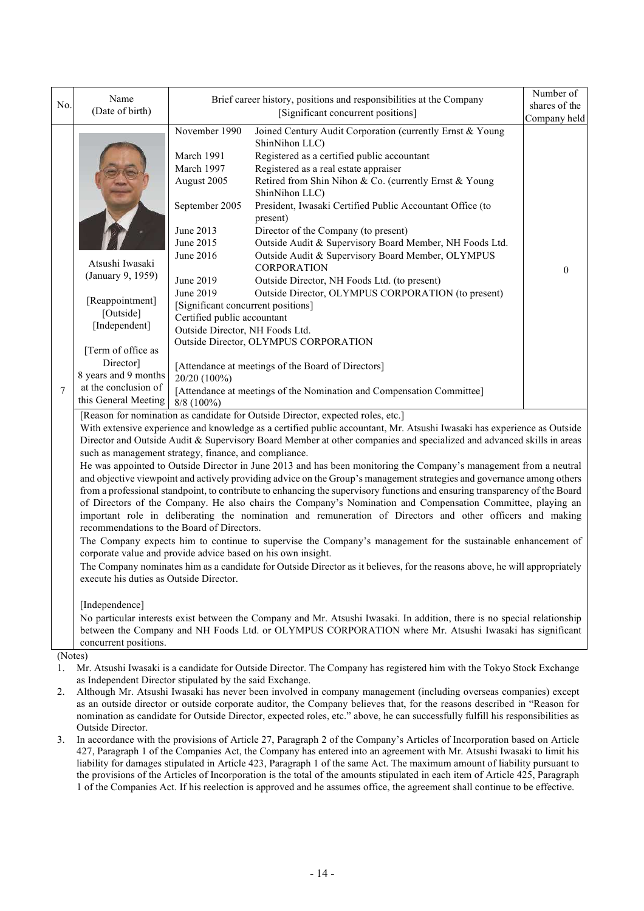| No.                     | Name<br>(Date of birth)                                                                                                                                                                                                                                                                                                                                                                                                                                                                                                                                                                                                                                                                                                                                                                                                                                                                                                                                                                                                                                                                                                                                                                                                                                                                                                                                                                                       | Brief career history, positions and responsibilities at the Company<br>[Significant concurrent positions]                                                                                                                                                                           |                                                                                                                                                                                                                                                                                                                                                                                                                                                                                                                                                                                                                                                                                                                                                                               |                          |  |  |
|-------------------------|---------------------------------------------------------------------------------------------------------------------------------------------------------------------------------------------------------------------------------------------------------------------------------------------------------------------------------------------------------------------------------------------------------------------------------------------------------------------------------------------------------------------------------------------------------------------------------------------------------------------------------------------------------------------------------------------------------------------------------------------------------------------------------------------------------------------------------------------------------------------------------------------------------------------------------------------------------------------------------------------------------------------------------------------------------------------------------------------------------------------------------------------------------------------------------------------------------------------------------------------------------------------------------------------------------------------------------------------------------------------------------------------------------------|-------------------------------------------------------------------------------------------------------------------------------------------------------------------------------------------------------------------------------------------------------------------------------------|-------------------------------------------------------------------------------------------------------------------------------------------------------------------------------------------------------------------------------------------------------------------------------------------------------------------------------------------------------------------------------------------------------------------------------------------------------------------------------------------------------------------------------------------------------------------------------------------------------------------------------------------------------------------------------------------------------------------------------------------------------------------------------|--------------------------|--|--|
| 7                       | Atsushi Iwasaki<br>(January 9, 1959)<br>[Reappointment]<br>[Outside]<br>[Independent]<br>[Term of office as<br>Director]<br>8 years and 9 months<br>at the conclusion of<br>this General Meeting                                                                                                                                                                                                                                                                                                                                                                                                                                                                                                                                                                                                                                                                                                                                                                                                                                                                                                                                                                                                                                                                                                                                                                                                              | November 1990<br>March 1991<br>March 1997<br>August 2005<br>September 2005<br>June 2013<br>June 2015<br>June 2016<br>June 2019<br>June 2019<br>[Significant concurrent positions]<br>Certified public accountant<br>Outside Director, NH Foods Ltd.<br>20/20 (100%)<br>$8/8$ (100%) | Joined Century Audit Corporation (currently Ernst & Young<br>ShinNihon LLC)<br>Registered as a certified public accountant<br>Registered as a real estate appraiser<br>Retired from Shin Nihon & Co. (currently Ernst & Young<br>ShinNihon LLC)<br>President, Iwasaki Certified Public Accountant Office (to<br>present)<br>Director of the Company (to present)<br>Outside Audit & Supervisory Board Member, NH Foods Ltd.<br>Outside Audit & Supervisory Board Member, OLYMPUS<br>CORPORATION<br>Outside Director, NH Foods Ltd. (to present)<br>Outside Director, OLYMPUS CORPORATION (to present)<br>Outside Director, OLYMPUS CORPORATION<br>[Attendance at meetings of the Board of Directors]<br>[Attendance at meetings of the Nomination and Compensation Committee] | Company held<br>$\theta$ |  |  |
|                         | [Reason for nomination as candidate for Outside Director, expected roles, etc.]<br>With extensive experience and knowledge as a certified public accountant, Mr. Atsushi Iwasaki has experience as Outside<br>Director and Outside Audit & Supervisory Board Member at other companies and specialized and advanced skills in areas<br>such as management strategy, finance, and compliance.<br>He was appointed to Outside Director in June 2013 and has been monitoring the Company's management from a neutral<br>and objective viewpoint and actively providing advice on the Group's management strategies and governance among others<br>from a professional standpoint, to contribute to enhancing the supervisory functions and ensuring transparency of the Board<br>of Directors of the Company. He also chairs the Company's Nomination and Compensation Committee, playing an<br>important role in deliberating the nomination and remuneration of Directors and other officers and making<br>recommendations to the Board of Directors.<br>The Company expects him to continue to supervise the Company's management for the sustainable enhancement of<br>corporate value and provide advice based on his own insight.<br>The Company nominates him as a candidate for Outside Director as it believes, for the reasons above, he will appropriately<br>execute his duties as Outside Director. |                                                                                                                                                                                                                                                                                     |                                                                                                                                                                                                                                                                                                                                                                                                                                                                                                                                                                                                                                                                                                                                                                               |                          |  |  |
| $(\mathbf{N}_{\alpha})$ | [Independence]<br>No particular interests exist between the Company and Mr. Atsushi Iwasaki. In addition, there is no special relationship<br>between the Company and NH Foods Ltd. or OLYMPUS CORPORATION where Mr. Atsushi Iwasaki has significant<br>concurrent positions.                                                                                                                                                                                                                                                                                                                                                                                                                                                                                                                                                                                                                                                                                                                                                                                                                                                                                                                                                                                                                                                                                                                                 |                                                                                                                                                                                                                                                                                     |                                                                                                                                                                                                                                                                                                                                                                                                                                                                                                                                                                                                                                                                                                                                                                               |                          |  |  |

(Notes)

1. Mr. Atsushi Iwasaki is a candidate for Outside Director. The Company has registered him with the Tokyo Stock Exchange as Independent Director stipulated by the said Exchange.

- 2. Although Mr. Atsushi Iwasaki has never been involved in company management (including overseas companies) except as an outside director or outside corporate auditor, the Company believes that, for the reasons described in "Reason for nomination as candidate for Outside Director, expected roles, etc." above, he can successfully fulfill his responsibilities as Outside Director.
- 3. In accordance with the provisions of Article 27, Paragraph 2 of the Company's Articles of Incorporation based on Article 427, Paragraph 1 of the Companies Act, the Company has entered into an agreement with Mr. Atsushi Iwasaki to limit his liability for damages stipulated in Article 423, Paragraph 1 of the same Act. The maximum amount of liability pursuant to the provisions of the Articles of Incorporation is the total of the amounts stipulated in each item of Article 425, Paragraph 1 of the Companies Act. If his reelection is approved and he assumes office, the agreement shall continue to be effective.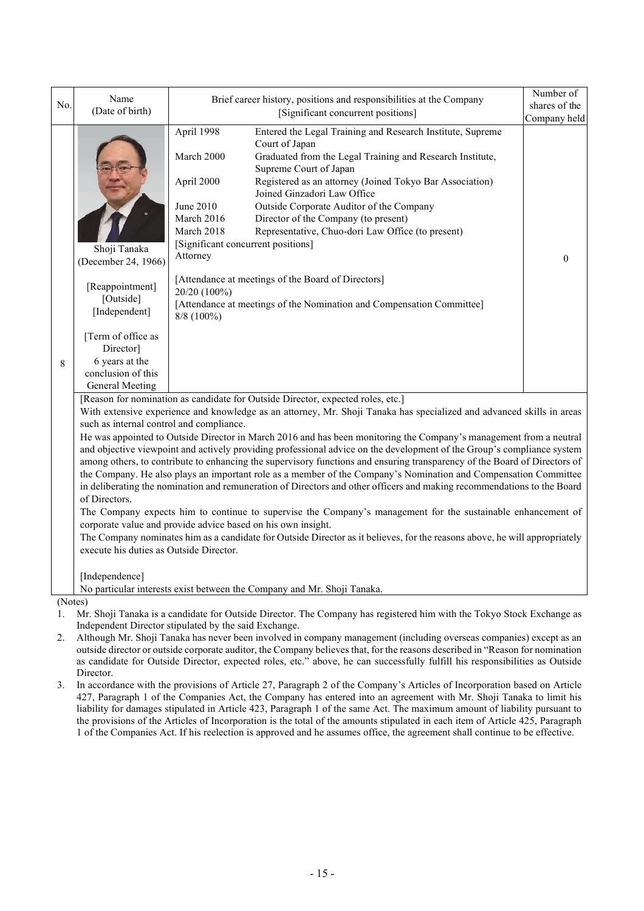| No. | Name                                                                                                                                                                                                                                                                                                                                                                                                                                                                                                                                                                                                                                                                                                                                                                                                                                                                                                                                                                                                                                                                                                                                                                                                                                                                                                                                                   | Brief career history, positions and responsibilities at the Company                                                                                                                                                                                                                                                                                                                                                                                                                                                                                                                                                                                                                                                |                               |  |  |  |  |
|-----|--------------------------------------------------------------------------------------------------------------------------------------------------------------------------------------------------------------------------------------------------------------------------------------------------------------------------------------------------------------------------------------------------------------------------------------------------------------------------------------------------------------------------------------------------------------------------------------------------------------------------------------------------------------------------------------------------------------------------------------------------------------------------------------------------------------------------------------------------------------------------------------------------------------------------------------------------------------------------------------------------------------------------------------------------------------------------------------------------------------------------------------------------------------------------------------------------------------------------------------------------------------------------------------------------------------------------------------------------------|--------------------------------------------------------------------------------------------------------------------------------------------------------------------------------------------------------------------------------------------------------------------------------------------------------------------------------------------------------------------------------------------------------------------------------------------------------------------------------------------------------------------------------------------------------------------------------------------------------------------------------------------------------------------------------------------------------------------|-------------------------------|--|--|--|--|
|     | (Date of birth)                                                                                                                                                                                                                                                                                                                                                                                                                                                                                                                                                                                                                                                                                                                                                                                                                                                                                                                                                                                                                                                                                                                                                                                                                                                                                                                                        | [Significant concurrent positions]                                                                                                                                                                                                                                                                                                                                                                                                                                                                                                                                                                                                                                                                                 | shares of the<br>Company held |  |  |  |  |
| 8   | Shoji Tanaka<br>(December 24, 1966)<br>[Reappointment]<br>[Outside]<br>[Independent]<br>[Term of office as<br>Director]<br>6 years at the<br>conclusion of this<br>General Meeting                                                                                                                                                                                                                                                                                                                                                                                                                                                                                                                                                                                                                                                                                                                                                                                                                                                                                                                                                                                                                                                                                                                                                                     | April 1998<br>Entered the Legal Training and Research Institute, Supreme<br>Court of Japan<br>Graduated from the Legal Training and Research Institute,<br>March 2000<br>Supreme Court of Japan<br>Registered as an attorney (Joined Tokyo Bar Association)<br>April 2000<br>Joined Ginzadori Law Office<br><b>June 2010</b><br>Outside Corporate Auditor of the Company<br>March 2016<br>Director of the Company (to present)<br>March 2018<br>Representative, Chuo-dori Law Office (to present)<br>[Significant concurrent positions]<br>Attorney<br>[Attendance at meetings of the Board of Directors]<br>20/20 (100%)<br>[Attendance at meetings of the Nomination and Compensation Committee]<br>$8/8$ (100%) | $\theta$                      |  |  |  |  |
|     | [Reason for nomination as candidate for Outside Director, expected roles, etc.]<br>With extensive experience and knowledge as an attorney, Mr. Shoji Tanaka has specialized and advanced skills in areas<br>such as internal control and compliance.<br>He was appointed to Outside Director in March 2016 and has been monitoring the Company's management from a neutral<br>and objective viewpoint and actively providing professional advice on the development of the Group's compliance system<br>among others, to contribute to enhancing the supervisory functions and ensuring transparency of the Board of Directors of<br>the Company. He also plays an important role as a member of the Company's Nomination and Compensation Committee<br>in deliberating the nomination and remuneration of Directors and other officers and making recommendations to the Board<br>of Directors.<br>The Company expects him to continue to supervise the Company's management for the sustainable enhancement of<br>corporate value and provide advice based on his own insight.<br>The Company nominates him as a candidate for Outside Director as it believes, for the reasons above, he will appropriately<br>execute his duties as Outside Director.<br>[Independence]<br>No particular interests exist between the Company and Mr. Shoji Tanaka. |                                                                                                                                                                                                                                                                                                                                                                                                                                                                                                                                                                                                                                                                                                                    |                               |  |  |  |  |
|     | (Notes)                                                                                                                                                                                                                                                                                                                                                                                                                                                                                                                                                                                                                                                                                                                                                                                                                                                                                                                                                                                                                                                                                                                                                                                                                                                                                                                                                |                                                                                                                                                                                                                                                                                                                                                                                                                                                                                                                                                                                                                                                                                                                    |                               |  |  |  |  |
| 1.  | Mr. Shoji Tanaka is a candidate for Outside Director. The Company has registered him with the Tokyo Stock Exchange as                                                                                                                                                                                                                                                                                                                                                                                                                                                                                                                                                                                                                                                                                                                                                                                                                                                                                                                                                                                                                                                                                                                                                                                                                                  |                                                                                                                                                                                                                                                                                                                                                                                                                                                                                                                                                                                                                                                                                                                    |                               |  |  |  |  |

- Independent Director stipulated by the said Exchange. 2. Although Mr. Shoji Tanaka has never been involved in company management (including overseas companies) except as an outside director or outside corporate auditor, the Company believes that, for the reasons described in "Reason for nomination as candidate for Outside Director, expected roles, etc." above, he can successfully fulfill his responsibilities as Outside Director.
- 3. In accordance with the provisions of Article 27, Paragraph 2 of the Company's Articles of Incorporation based on Article 427, Paragraph 1 of the Companies Act, the Company has entered into an agreement with Mr. Shoji Tanaka to limit his liability for damages stipulated in Article 423, Paragraph 1 of the same Act. The maximum amount of liability pursuant to the provisions of the Articles of Incorporation is the total of the amounts stipulated in each item of Article 425, Paragraph 1 of the Companies Act. If his reelection is approved and he assumes office, the agreement shall continue to be effective.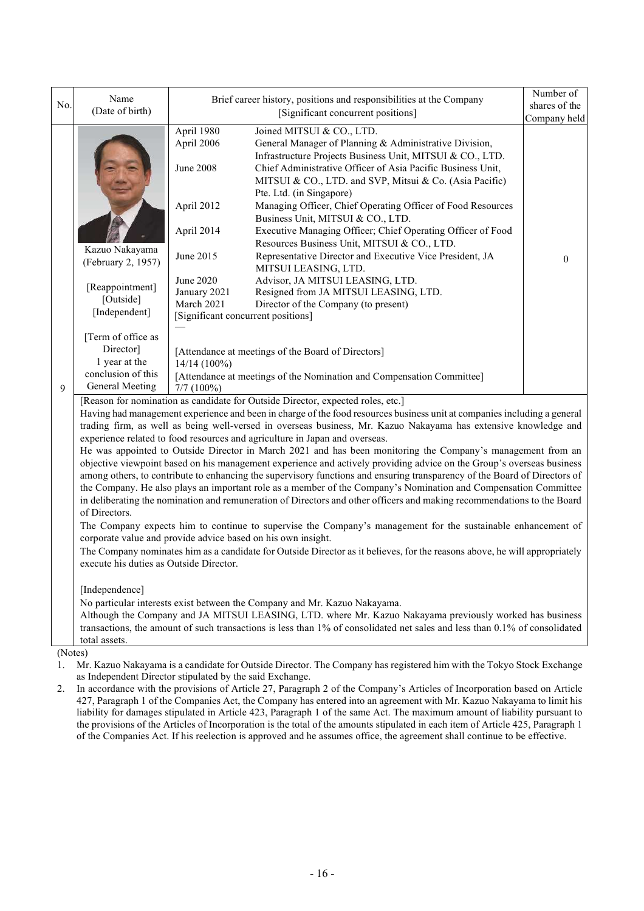| No.     | Name<br>(Date of birth)                                                                                                                                                                                                                                                                                                                                                                                                                                                                                                                                                                                                                                                                                                                                                                                                                                                                                                                                                                                                                                                                                                                                                                                                                                                                                                                                                                                    | Brief career history, positions and responsibilities at the Company<br>[Significant concurrent positions]                                                     |                                                                                                                                                                                                                                                                                                        |              |  |  |  |
|---------|------------------------------------------------------------------------------------------------------------------------------------------------------------------------------------------------------------------------------------------------------------------------------------------------------------------------------------------------------------------------------------------------------------------------------------------------------------------------------------------------------------------------------------------------------------------------------------------------------------------------------------------------------------------------------------------------------------------------------------------------------------------------------------------------------------------------------------------------------------------------------------------------------------------------------------------------------------------------------------------------------------------------------------------------------------------------------------------------------------------------------------------------------------------------------------------------------------------------------------------------------------------------------------------------------------------------------------------------------------------------------------------------------------|---------------------------------------------------------------------------------------------------------------------------------------------------------------|--------------------------------------------------------------------------------------------------------------------------------------------------------------------------------------------------------------------------------------------------------------------------------------------------------|--------------|--|--|--|
|         |                                                                                                                                                                                                                                                                                                                                                                                                                                                                                                                                                                                                                                                                                                                                                                                                                                                                                                                                                                                                                                                                                                                                                                                                                                                                                                                                                                                                            |                                                                                                                                                               |                                                                                                                                                                                                                                                                                                        | Company held |  |  |  |
|         |                                                                                                                                                                                                                                                                                                                                                                                                                                                                                                                                                                                                                                                                                                                                                                                                                                                                                                                                                                                                                                                                                                                                                                                                                                                                                                                                                                                                            | April 1980<br>April 2006<br><b>June 2008</b>                                                                                                                  | Joined MITSUI & CO., LTD.<br>General Manager of Planning & Administrative Division,<br>Infrastructure Projects Business Unit, MITSUI & CO., LTD.<br>Chief Administrative Officer of Asia Pacific Business Unit,<br>MITSUI & CO., LTD. and SVP, Mitsui & Co. (Asia Pacific)<br>Pte. Ltd. (in Singapore) |              |  |  |  |
|         |                                                                                                                                                                                                                                                                                                                                                                                                                                                                                                                                                                                                                                                                                                                                                                                                                                                                                                                                                                                                                                                                                                                                                                                                                                                                                                                                                                                                            | April 2012<br>April 2014                                                                                                                                      | Managing Officer, Chief Operating Officer of Food Resources<br>Business Unit, MITSUI & CO., LTD.<br>Executive Managing Officer; Chief Operating Officer of Food                                                                                                                                        |              |  |  |  |
|         | Kazuo Nakayama                                                                                                                                                                                                                                                                                                                                                                                                                                                                                                                                                                                                                                                                                                                                                                                                                                                                                                                                                                                                                                                                                                                                                                                                                                                                                                                                                                                             |                                                                                                                                                               | Resources Business Unit, MITSUI & CO., LTD.                                                                                                                                                                                                                                                            |              |  |  |  |
|         | (February 2, 1957)                                                                                                                                                                                                                                                                                                                                                                                                                                                                                                                                                                                                                                                                                                                                                                                                                                                                                                                                                                                                                                                                                                                                                                                                                                                                                                                                                                                         | June 2015                                                                                                                                                     | Representative Director and Executive Vice President, JA<br>MITSUI LEASING, LTD.                                                                                                                                                                                                                       | $\mathbf{0}$ |  |  |  |
|         | [Reappointment]<br>[Outside]<br>[Independent]                                                                                                                                                                                                                                                                                                                                                                                                                                                                                                                                                                                                                                                                                                                                                                                                                                                                                                                                                                                                                                                                                                                                                                                                                                                                                                                                                              | <b>June 2020</b><br>January 2021<br>March 2021                                                                                                                | Advisor, JA MITSUI LEASING, LTD.<br>Resigned from JA MITSUI LEASING, LTD.<br>Director of the Company (to present)                                                                                                                                                                                      |              |  |  |  |
|         |                                                                                                                                                                                                                                                                                                                                                                                                                                                                                                                                                                                                                                                                                                                                                                                                                                                                                                                                                                                                                                                                                                                                                                                                                                                                                                                                                                                                            |                                                                                                                                                               | [Significant concurrent positions]                                                                                                                                                                                                                                                                     |              |  |  |  |
| 9       | [Term of office as<br>Director]<br>1 year at the<br>conclusion of this<br>General Meeting                                                                                                                                                                                                                                                                                                                                                                                                                                                                                                                                                                                                                                                                                                                                                                                                                                                                                                                                                                                                                                                                                                                                                                                                                                                                                                                  | [Attendance at meetings of the Board of Directors]<br>$14/14(100\%)$<br>[Attendance at meetings of the Nomination and Compensation Committee]<br>$7/7$ (100%) |                                                                                                                                                                                                                                                                                                        |              |  |  |  |
|         | [Reason for nomination as candidate for Outside Director, expected roles, etc.]<br>Having had management experience and been in charge of the food resources business unit at companies including a general<br>trading firm, as well as being well-versed in overseas business, Mr. Kazuo Nakayama has extensive knowledge and<br>experience related to food resources and agriculture in Japan and overseas.<br>He was appointed to Outside Director in March 2021 and has been monitoring the Company's management from an<br>objective viewpoint based on his management experience and actively providing advice on the Group's overseas business<br>among others, to contribute to enhancing the supervisory functions and ensuring transparency of the Board of Directors of<br>the Company. He also plays an important role as a member of the Company's Nomination and Compensation Committee<br>in deliberating the nomination and remuneration of Directors and other officers and making recommendations to the Board<br>of Directors.<br>The Company expects him to continue to supervise the Company's management for the sustainable enhancement of<br>corporate value and provide advice based on his own insight.<br>The Company nominates him as a candidate for Outside Director as it believes, for the reasons above, he will appropriately<br>execute his duties as Outside Director. |                                                                                                                                                               |                                                                                                                                                                                                                                                                                                        |              |  |  |  |
| (Notes) | [Independence]<br>No particular interests exist between the Company and Mr. Kazuo Nakayama.<br>Although the Company and JA MITSUI LEASING, LTD. where Mr. Kazuo Nakayama previously worked has business<br>transactions, the amount of such transactions is less than 1% of consolidated net sales and less than 0.1% of consolidated<br>total assets.                                                                                                                                                                                                                                                                                                                                                                                                                                                                                                                                                                                                                                                                                                                                                                                                                                                                                                                                                                                                                                                     |                                                                                                                                                               |                                                                                                                                                                                                                                                                                                        |              |  |  |  |

(Notes)

1. Mr. Kazuo Nakayama is a candidate for Outside Director. The Company has registered him with the Tokyo Stock Exchange as Independent Director stipulated by the said Exchange.

2. In accordance with the provisions of Article 27, Paragraph 2 of the Company's Articles of Incorporation based on Article 427, Paragraph 1 of the Companies Act, the Company has entered into an agreement with Mr. Kazuo Nakayama to limit his liability for damages stipulated in Article 423, Paragraph 1 of the same Act. The maximum amount of liability pursuant to the provisions of the Articles of Incorporation is the total of the amounts stipulated in each item of Article 425, Paragraph 1 of the Companies Act. If his reelection is approved and he assumes office, the agreement shall continue to be effective.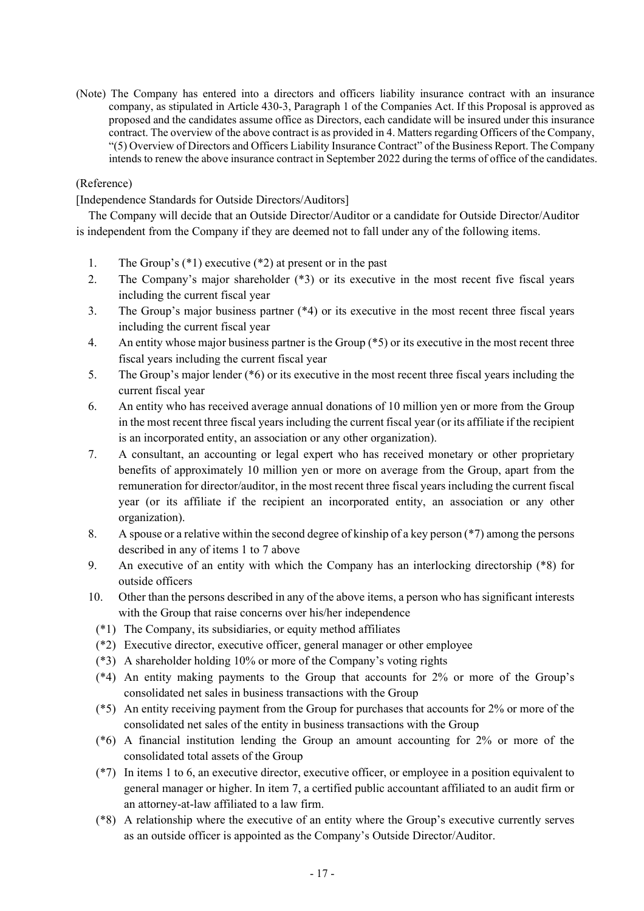(Note) The Company has entered into a directors and officers liability insurance contract with an insurance company, as stipulated in Article 430-3, Paragraph 1 of the Companies Act. If this Proposal is approved as proposed and the candidates assume office as Directors, each candidate will be insured under this insurance contract. The overview of the above contract is as provided in 4. Matters regarding Officers of the Company, "(5) Overview of Directors and Officers Liability Insurance Contract" of the Business Report. The Company intends to renew the above insurance contract in September 2022 during the terms of office of the candidates.

# (Reference)

[Independence Standards for Outside Directors/Auditors]

The Company will decide that an Outside Director/Auditor or a candidate for Outside Director/Auditor is independent from the Company if they are deemed not to fall under any of the following items.

- 1. The Group's (\*1) executive (\*2) at present or in the past
- 2. The Company's major shareholder (\*3) or its executive in the most recent five fiscal years including the current fiscal year
- 3. The Group's major business partner (\*4) or its executive in the most recent three fiscal years including the current fiscal year
- 4. An entity whose major business partner is the Group (\*5) or its executive in the most recent three fiscal years including the current fiscal year
- 5. The Group's major lender (\*6) or its executive in the most recent three fiscal years including the current fiscal year
- 6. An entity who has received average annual donations of 10 million yen or more from the Group in the most recent three fiscal yearsincluding the current fiscal year (or its affiliate if the recipient is an incorporated entity, an association or any other organization).
- 7. A consultant, an accounting or legal expert who has received monetary or other proprietary benefits of approximately 10 million yen or more on average from the Group, apart from the remuneration for director/auditor, in the most recent three fiscal years including the current fiscal year (or its affiliate if the recipient an incorporated entity, an association or any other organization).
- 8. A spouse or a relative within the second degree of kinship of a key person (\*7) among the persons described in any of items 1 to 7 above
- 9. An executive of an entity with which the Company has an interlocking directorship (\*8) for outside officers
- 10. Other than the persons described in any of the above items, a person who has significant interests with the Group that raise concerns over his/her independence
	- (\*1) The Company, its subsidiaries, or equity method affiliates
	- (\*2) Executive director, executive officer, general manager or other employee
	- (\*3) A shareholder holding 10% or more of the Company's voting rights
	- (\*4) An entity making payments to the Group that accounts for 2% or more of the Group's consolidated net sales in business transactions with the Group
	- (\*5) An entity receiving payment from the Group for purchases that accounts for 2% or more of the consolidated net sales of the entity in business transactions with the Group
	- (\*6) A financial institution lending the Group an amount accounting for 2% or more of the consolidated total assets of the Group
	- (\*7) In items 1 to 6, an executive director, executive officer, or employee in a position equivalent to general manager or higher. In item 7, a certified public accountant affiliated to an audit firm or an attorney-at-law affiliated to a law firm.
	- (\*8) A relationship where the executive of an entity where the Group's executive currently serves as an outside officer is appointed as the Company's Outside Director/Auditor.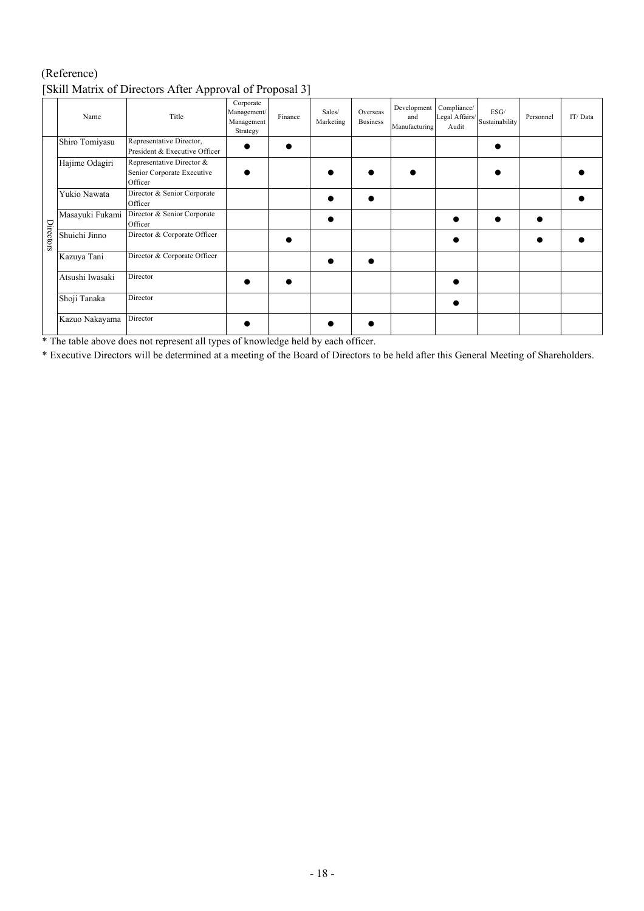# (Reference) [Skill Matrix of Directors After Approval of Proposal 3]

|           | Name            | Title                                                              | Corporate<br>Management/<br>Management<br>Strategy | Finance | Sales/<br>Marketing | Overseas<br><b>Business</b> | Development<br>and<br>Manufacturing | Compliance/<br>Legal Affairs/<br>Audit | ESG/<br>Sustainability | Personnel | IT/Data |
|-----------|-----------------|--------------------------------------------------------------------|----------------------------------------------------|---------|---------------------|-----------------------------|-------------------------------------|----------------------------------------|------------------------|-----------|---------|
|           | Shiro Tomiyasu  | Representative Director,<br>President & Executive Officer          |                                                    |         |                     |                             |                                     |                                        |                        |           |         |
|           | Hajime Odagiri  | Representative Director &<br>Senior Corporate Executive<br>Officer |                                                    |         |                     |                             |                                     |                                        |                        |           |         |
|           | Yukio Nawata    | Director & Senior Corporate<br>Officer                             |                                                    |         |                     |                             |                                     |                                        |                        |           |         |
|           | Masayuki Fukami | Director & Senior Corporate<br>Officer                             |                                                    |         |                     |                             |                                     |                                        |                        |           |         |
| Directors | Shuichi Jinno   | Director & Corporate Officer                                       |                                                    |         |                     |                             |                                     |                                        |                        |           |         |
|           | Kazuya Tani     | Director & Corporate Officer                                       |                                                    |         |                     |                             |                                     |                                        |                        |           |         |
|           | Atsushi Iwasaki | Director                                                           |                                                    |         |                     |                             |                                     |                                        |                        |           |         |
|           | Shoji Tanaka    | Director                                                           |                                                    |         |                     |                             |                                     |                                        |                        |           |         |
|           | Kazuo Nakayama  | Director                                                           |                                                    |         |                     |                             |                                     |                                        |                        |           |         |

\* The table above does not represent all types of knowledge held by each officer.

\* Executive Directors will be determined at a meeting of the Board of Directors to be held after this General Meeting of Shareholders.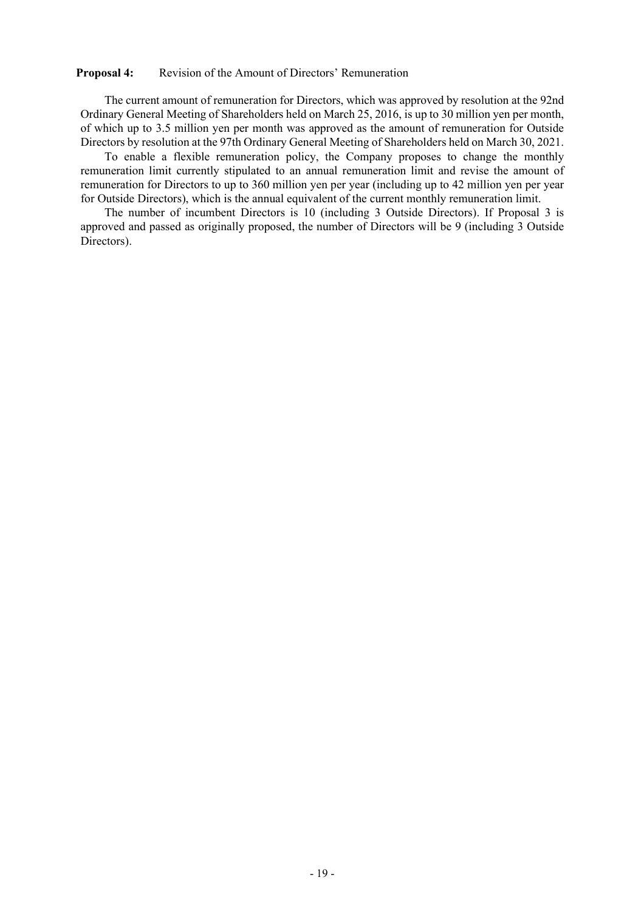# **Proposal 4:** Revision of the Amount of Directors' Remuneration

The current amount of remuneration for Directors, which was approved by resolution at the 92nd Ordinary General Meeting of Shareholders held on March 25, 2016, is up to 30 million yen per month, of which up to 3.5 million yen per month was approved as the amount of remuneration for Outside Directors by resolution at the 97th Ordinary General Meeting of Shareholders held on March 30, 2021.

To enable a flexible remuneration policy, the Company proposes to change the monthly remuneration limit currently stipulated to an annual remuneration limit and revise the amount of remuneration for Directors to up to 360 million yen per year (including up to 42 million yen per year for Outside Directors), which is the annual equivalent of the current monthly remuneration limit.

The number of incumbent Directors is 10 (including 3 Outside Directors). If Proposal 3 is approved and passed as originally proposed, the number of Directors will be 9 (including 3 Outside Directors).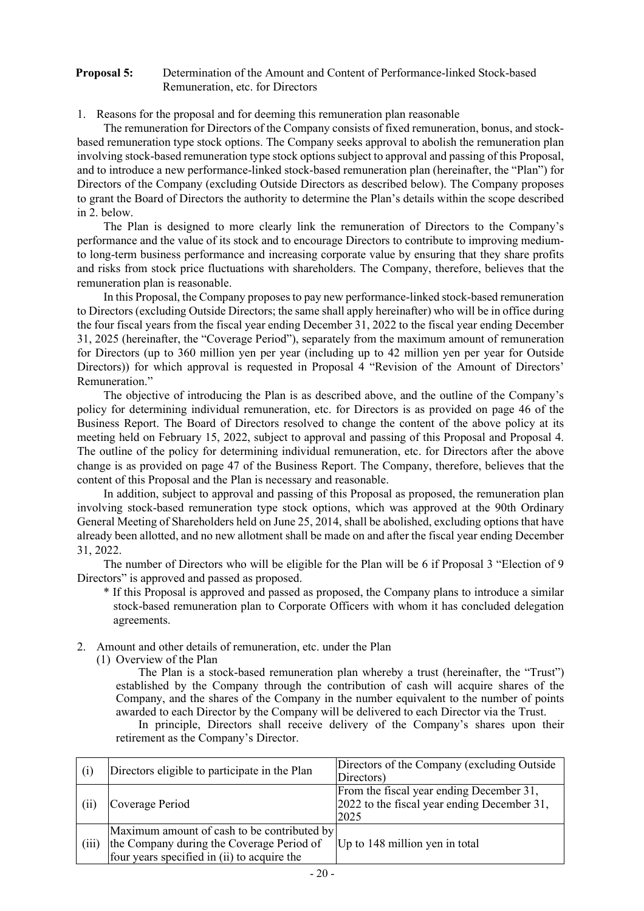### **Proposal 5:** Determination of the Amount and Content of Performance-linked Stock-based Remuneration, etc. for Directors

1. Reasons for the proposal and for deeming this remuneration plan reasonable

The remuneration for Directors of the Company consists of fixed remuneration, bonus, and stockbased remuneration type stock options. The Company seeks approval to abolish the remuneration plan involving stock-based remuneration type stock optionssubject to approval and passing of this Proposal, and to introduce a new performance-linked stock-based remuneration plan (hereinafter, the "Plan") for Directors of the Company (excluding Outside Directors as described below). The Company proposes to grant the Board of Directors the authority to determine the Plan's details within the scope described in 2. below.

The Plan is designed to more clearly link the remuneration of Directors to the Company's performance and the value of its stock and to encourage Directors to contribute to improving mediumto long-term business performance and increasing corporate value by ensuring that they share profits and risks from stock price fluctuations with shareholders. The Company, therefore, believes that the remuneration plan is reasonable.

In this Proposal, the Company proposesto pay new performance-linked stock-based remuneration to Directors (excluding Outside Directors; the same shall apply hereinafter) who will be in office during the four fiscal years from the fiscal year ending December 31, 2022 to the fiscal year ending December 31, 2025 (hereinafter, the "Coverage Period"), separately from the maximum amount of remuneration for Directors (up to 360 million yen per year (including up to 42 million yen per year for Outside Directors)) for which approval is requested in Proposal 4 "Revision of the Amount of Directors' Remuneration."

The objective of introducing the Plan is as described above, and the outline of the Company's policy for determining individual remuneration, etc. for Directors is as provided on page 46 of the Business Report. The Board of Directors resolved to change the content of the above policy at its meeting held on February 15, 2022, subject to approval and passing of this Proposal and Proposal 4. The outline of the policy for determining individual remuneration, etc. for Directors after the above change is as provided on page 47 of the Business Report. The Company, therefore, believes that the content of this Proposal and the Plan is necessary and reasonable.

In addition, subject to approval and passing of this Proposal as proposed, the remuneration plan involving stock-based remuneration type stock options, which was approved at the 90th Ordinary General Meeting of Shareholders held on June 25, 2014, shall be abolished, excluding options that have already been allotted, and no new allotment shall be made on and after the fiscal year ending December 31, 2022.

The number of Directors who will be eligible for the Plan will be 6 if Proposal 3 "Election of 9 Directors" is approved and passed as proposed.

- \* If this Proposal is approved and passed as proposed, the Company plans to introduce a similar stock-based remuneration plan to Corporate Officers with whom it has concluded delegation agreements.
- 2. Amount and other details of remuneration, etc. under the Plan
	- (1) Overview of the Plan

The Plan is a stock-based remuneration plan whereby a trust (hereinafter, the "Trust") established by the Company through the contribution of cash will acquire shares of the Company, and the shares of the Company in the number equivalent to the number of points awarded to each Director by the Company will be delivered to each Director via the Trust.

In principle, Directors shall receive delivery of the Company's shares upon their retirement as the Company's Director.

| (i)   | Directors eligible to participate in the Plan                                                                                           | Directors of the Company (excluding Outside)<br>Directors)                                      |
|-------|-----------------------------------------------------------------------------------------------------------------------------------------|-------------------------------------------------------------------------------------------------|
| (iii) | Coverage Period                                                                                                                         | From the fiscal year ending December 31,<br>2022 to the fiscal year ending December 31,<br>2025 |
| (iii) | Maximum amount of cash to be contributed by<br>the Company during the Coverage Period of<br>four years specified in (ii) to acquire the | Up to 148 million yen in total                                                                  |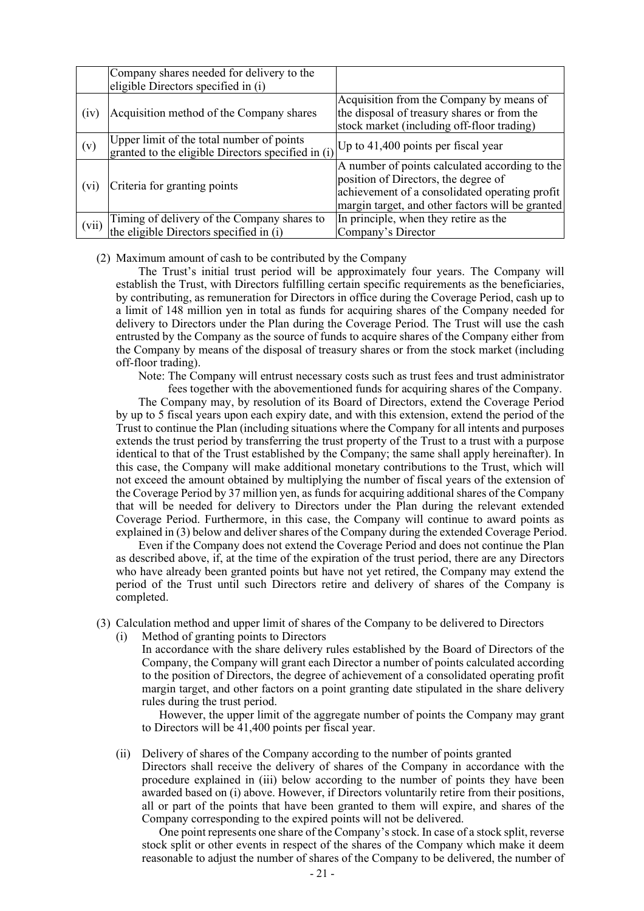|         | Company shares needed for delivery to the<br>eligible Directors specified in (i)                                                                        |                                                                                                                                                                                              |
|---------|---------------------------------------------------------------------------------------------------------------------------------------------------------|----------------------------------------------------------------------------------------------------------------------------------------------------------------------------------------------|
| (iv)    | Acquisition method of the Company shares                                                                                                                | Acquisition from the Company by means of<br>the disposal of treasury shares or from the<br>stock market (including off-floor trading)                                                        |
| (v)     | Upper limit of the total number of points<br>granted to the eligible Directors specified in (i) $ Up \text{ to } 41,400 \text{ points per fiscal year}$ |                                                                                                                                                                                              |
| $(v_1)$ | Criteria for granting points                                                                                                                            | A number of points calculated according to the<br>position of Directors, the degree of<br>achievement of a consolidated operating profit<br>margin target, and other factors will be granted |
| (vii)   | Timing of delivery of the Company shares to<br>the eligible Directors specified in (i)                                                                  | In principle, when they retire as the<br>Company's Director                                                                                                                                  |

#### (2) Maximum amount of cash to be contributed by the Company

The Trust's initial trust period will be approximately four years. The Company will establish the Trust, with Directors fulfilling certain specific requirements as the beneficiaries, by contributing, as remuneration for Directors in office during the Coverage Period, cash up to a limit of 148 million yen in total as funds for acquiring shares of the Company needed for delivery to Directors under the Plan during the Coverage Period. The Trust will use the cash entrusted by the Company as the source of funds to acquire shares of the Company either from the Company by means of the disposal of treasury shares or from the stock market (including off-floor trading).

Note: The Company will entrust necessary costs such as trust fees and trust administrator fees together with the abovementioned funds for acquiring shares of the Company.

The Company may, by resolution of its Board of Directors, extend the Coverage Period by up to 5 fiscal years upon each expiry date, and with this extension, extend the period of the Trust to continue the Plan (including situations where the Company for all intents and purposes extends the trust period by transferring the trust property of the Trust to a trust with a purpose identical to that of the Trust established by the Company; the same shall apply hereinafter). In this case, the Company will make additional monetary contributions to the Trust, which will not exceed the amount obtained by multiplying the number of fiscal years of the extension of the Coverage Period by 37 million yen, asfunds for acquiring additional shares of the Company that will be needed for delivery to Directors under the Plan during the relevant extended Coverage Period. Furthermore, in this case, the Company will continue to award points as explained in (3) below and deliver shares of the Company during the extended Coverage Period.

Even if the Company does not extend the Coverage Period and does not continue the Plan as described above, if, at the time of the expiration of the trust period, there are any Directors who have already been granted points but have not yet retired, the Company may extend the period of the Trust until such Directors retire and delivery of shares of the Company is completed.

- (3) Calculation method and upper limit of shares of the Company to be delivered to Directors
	- (i) Method of granting points to Directors In accordance with the share delivery rules established by the Board of Directors of the Company, the Company will grant each Director a number of points calculated according to the position of Directors, the degree of achievement of a consolidated operating profit margin target, and other factors on a point granting date stipulated in the share delivery rules during the trust period.

However, the upper limit of the aggregate number of points the Company may grant to Directors will be 41,400 points per fiscal year.

(ii) Delivery of shares of the Company according to the number of points granted

Directors shall receive the delivery of shares of the Company in accordance with the procedure explained in (iii) below according to the number of points they have been awarded based on (i) above. However, if Directors voluntarily retire from their positions, all or part of the points that have been granted to them will expire, and shares of the Company corresponding to the expired points will not be delivered.

One point represents one share of the Company's stock. In case of a stock split, reverse stock split or other events in respect of the shares of the Company which make it deem reasonable to adjust the number of shares of the Company to be delivered, the number of